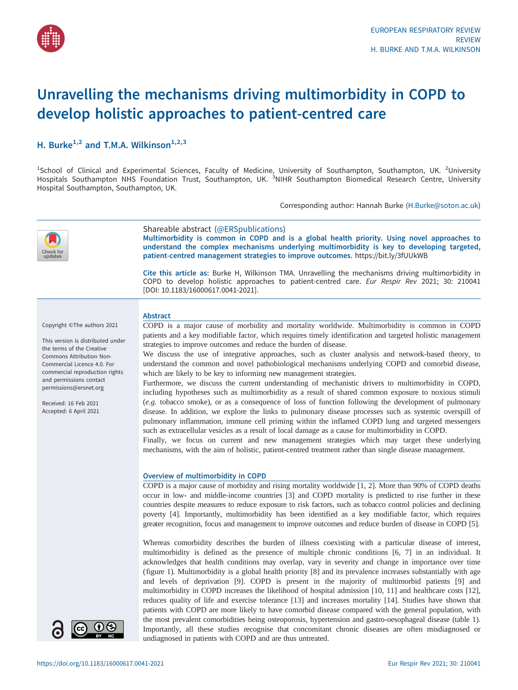

# Unravelling the mechanisms driving multimorbidity in COPD to develop holistic approaches to patient-centred care

# H. Burke<sup>1,2</sup> and T.M.A. Wilkinson<sup>1,2,3</sup>

<sup>1</sup>School of Clinical and Experimental Sciences, Faculty of Medicine, University of Southampton, Southampton, UK. <sup>2</sup>University<br>Hospitals Southampton NHS Foundation Trust, Southampton, UK. <sup>3</sup>NIHR Southampton Biomedical Re Hospital Southampton, Southampton, UK.

Corresponding author: Hannah Burke [\(H.Burke@soton.ac.uk](mailto:H.Burke@soton.ac.uk))



# Shareable abstract (@ERSpublications)

Multimorbidity is common in COPD and is a global health priority. Using novel approaches to understand the complex mechanisms underlying multimorbidity is key to developing targeted, patient-centred management strategies to improve outcomes. <https://bit.ly/3fUUkWB>

Cite this article as: Burke H, Wilkinson TMA. Unravelling the mechanisms driving multimorbidity in COPD to develop holistic approaches to patient-centred care. Eur Respir Rev 2021; 30: 210041 [\[DOI: 10.1183/16000617.0041-2021\].](https://doi.org/10.1183/16000617.0041-2021)

Copyright ©The authors 2021

This version is distributed under the terms of the Creative Commons Attribution Non-Commercial Licence 4.0. For commercial reproduction rights and permissions contact [permissions@ersnet.org](mailto:permissions@ersnet.org)

Received: 16 Feb 2021 Accepted: 6 April 2021

# Abstract

COPD is a major cause of morbidity and mortality worldwide. Multimorbidity is common in COPD patients and a key modifiable factor, which requires timely identification and targeted holistic management strategies to improve outcomes and reduce the burden of disease.

We discuss the use of integrative approaches, such as cluster analysis and network-based theory, to understand the common and novel pathobiological mechanisms underlying COPD and comorbid disease, which are likely to be key to informing new management strategies.

Furthermore, we discuss the current understanding of mechanistic drivers to multimorbidity in COPD, including hypotheses such as multimorbidity as a result of shared common exposure to noxious stimuli (e.g. tobacco smoke), or as a consequence of loss of function following the development of pulmonary disease. In addition, we explore the links to pulmonary disease processes such as systemic overspill of pulmonary inflammation, immune cell priming within the inflamed COPD lung and targeted messengers such as extracellular vesicles as a result of local damage as a cause for multimorbidity in COPD.

Finally, we focus on current and new management strategies which may target these underlying mechanisms, with the aim of holistic, patient-centred treatment rather than single disease management.

#### Overview of multimorbidity in COPD

COPD is a major cause of morbidity and rising mortality worldwide [\[1, 2](#page-11-0)]. More than 90% of COPD deaths occur in low- and middle-income countries [\[3\]](#page-11-0) and COPD mortality is predicted to rise further in these countries despite measures to reduce exposure to risk factors, such as tobacco control policies and declining poverty [\[4\]](#page-11-0). Importantly, multimorbidity has been identified as a key modifiable factor, which requires greater recognition, focus and management to improve outcomes and reduce burden of disease in COPD [\[5\]](#page-11-0).

Whereas comorbidity describes the burden of illness coexisting with a particular disease of interest, multimorbidity is defined as the presence of multiple chronic conditions [\[6, 7](#page-11-0)] in an individual. It acknowledges that health conditions may overlap, vary in severity and change in importance over time [\(figure 1](#page-1-0)). Multimorbidity is a global health priority [\[8\]](#page-11-0) and its prevalence increases substantially with age and levels of deprivation [\[9\]](#page-11-0). COPD is present in the majority of multimorbid patients [[9](#page-11-0)] and multimorbidity in COPD increases the likelihood of hospital admission [\[10](#page-11-0), [11\]](#page-11-0) and healthcare costs [[12\]](#page-11-0), reduces quality of life and exercise tolerance [[13\]](#page-11-0) and increases mortality [[14\]](#page-11-0). Studies have shown that patients with COPD are more likely to have comorbid disease compared with the general population, with the most prevalent comorbidities being osteoporosis, hypertension and gastro-oesophageal disease [\(table 1\)](#page-1-0). Importantly, all these studies recognise that concomitant chronic diseases are often misdiagnosed or undiagnosed in patients with COPD and are thus untreated.

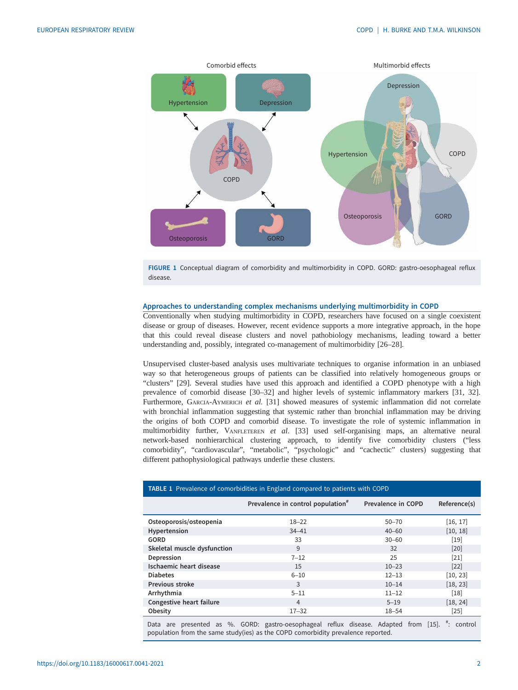<span id="page-1-0"></span>

FIGURE 1 Conceptual diagram of comorbidity and multimorbidity in COPD. GORD: gastro-oesophageal reflux disease.

#### Approaches to understanding complex mechanisms underlying multimorbidity in COPD

Conventionally when studying multimorbidity in COPD, researchers have focused on a single coexistent disease or group of diseases. However, recent evidence supports a more integrative approach, in the hope that this could reveal disease clusters and novel pathobiology mechanisms, leading toward a better understanding and, possibly, integrated co-management of multimorbidity [[26](#page-11-0)–[28](#page-12-0)].

Unsupervised cluster-based analysis uses multivariate techniques to organise information in an unbiased way so that heterogeneous groups of patients can be classified into relatively homogeneous groups or "clusters" [\[29](#page-12-0)]. Several studies have used this approach and identified a COPD phenotype with a high prevalence of comorbid disease [[30](#page-12-0)–[32](#page-12-0)] and higher levels of systemic inflammatory markers [\[31](#page-12-0), [32\]](#page-12-0). Furthermore, GARCIA-AYMERICH et al. [\[31](#page-12-0)] showed measures of systemic inflammation did not correlate with bronchial inflammation suggesting that systemic rather than bronchial inflammation may be driving the origins of both COPD and comorbid disease. To investigate the role of systemic inflammation in multimorbidity further, VANFLETEREN et al. [[33\]](#page-12-0) used self-organising maps, an alternative neural network-based nonhierarchical clustering approach, to identify five comorbidity clusters ("less comorbidity", "cardiovascular", "metabolic", "psychologic" and "cachectic" clusters) suggesting that different pathophysiological pathways underlie these clusters.

| <b>TABLE 1</b> Prevalence of comorbidities in England compared to patients with COPD |                                                                                                        |                    |              |
|--------------------------------------------------------------------------------------|--------------------------------------------------------------------------------------------------------|--------------------|--------------|
|                                                                                      | Prevalence in control population <sup>#</sup>                                                          | Prevalence in COPD | Reference(s) |
| Osteoporosis/osteopenia                                                              | $18 - 22$                                                                                              | $50 - 70$          | [16, 17]     |
| Hypertension                                                                         | $34 - 41$                                                                                              | $40 - 60$          | [10, 18]     |
| GORD                                                                                 | 33                                                                                                     | $30 - 60$          | $[19]$       |
| Skeletal muscle dysfunction                                                          | 9                                                                                                      | 32                 | [20]         |
| Depression                                                                           | $7 - 12$                                                                                               | 25                 | $[21]$       |
| Ischaemic heart disease                                                              | 15                                                                                                     | $10 - 23$          | $[22]$       |
| <b>Diabetes</b>                                                                      | $6 - 10$                                                                                               | $12 - 13$          | [10, 23]     |
| Previous stroke                                                                      | 3                                                                                                      | $10 - 14$          | [18, 23]     |
| Arrhythmia                                                                           | $5 - 11$                                                                                               | $11 - 12$          | $[18]$       |
| Congestive heart failure                                                             | 4                                                                                                      | $5 - 19$           | [18, 24]     |
| Obesity                                                                              | $17 - 32$                                                                                              | $18 - 54$          | $[25]$       |
| Data                                                                                 | are presented as %. GORD: gastro-oesophageal reflux disease. Adapted from [15]. <sup>#</sup> : control |                    |              |

: control population from the same study(ies) as the COPD comorbidity prevalence reported.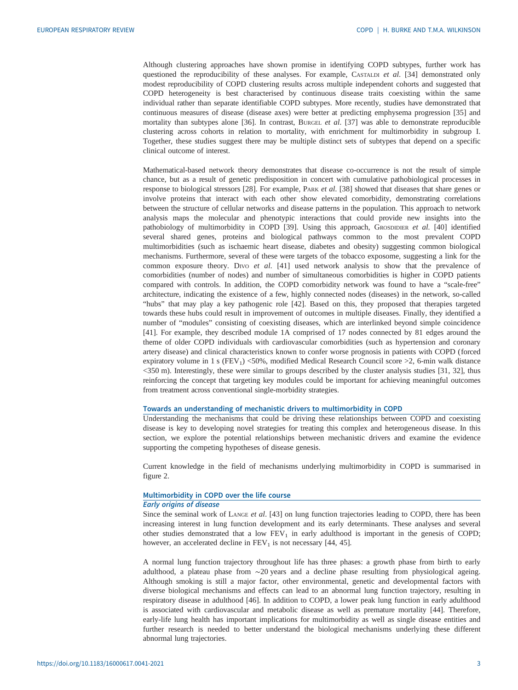Although clustering approaches have shown promise in identifying COPD subtypes, further work has questioned the reproducibility of these analyses. For example, CASTALDI et al. [[34\]](#page-12-0) demonstrated only modest reproducibility of COPD clustering results across multiple independent cohorts and suggested that COPD heterogeneity is best characterised by continuous disease traits coexisting within the same individual rather than separate identifiable COPD subtypes. More recently, studies have demonstrated that continuous measures of disease (disease axes) were better at predicting emphysema progression [\[35](#page-12-0)] and mortality than subtypes alone [[36\]](#page-12-0). In contrast, BURGEL et al. [[37\]](#page-12-0) was able to demonstrate reproducible clustering across cohorts in relation to mortality, with enrichment for multimorbidity in subgroup I. Together, these studies suggest there may be multiple distinct sets of subtypes that depend on a specific clinical outcome of interest.

Mathematical-based network theory demonstrates that disease co-occurrence is not the result of simple chance, but as a result of genetic predisposition in concert with cumulative pathobiological processes in response to biological stressors [\[28](#page-12-0)]. For example, PARK et al. [\[38](#page-12-0)] showed that diseases that share genes or involve proteins that interact with each other show elevated comorbidity, demonstrating correlations between the structure of cellular networks and disease patterns in the population. This approach to network analysis maps the molecular and phenotypic interactions that could provide new insights into the pathobiology of multimorbidity in COPD [\[39](#page-12-0)]. Using this approach, GROSDIDIER et al. [\[40](#page-12-0)] identified several shared genes, proteins and biological pathways common to the most prevalent COPD multimorbidities (such as ischaemic heart disease, diabetes and obesity) suggesting common biological mechanisms. Furthermore, several of these were targets of the tobacco exposome, suggesting a link for the common exposure theory. Divo et al. [[41\]](#page-12-0) used network analysis to show that the prevalence of comorbidities (number of nodes) and number of simultaneous comorbidities is higher in COPD patients compared with controls. In addition, the COPD comorbidity network was found to have a "scale-free" architecture, indicating the existence of a few, highly connected nodes (diseases) in the network, so-called "hubs" that may play a key pathogenic role [\[42](#page-12-0)]. Based on this, they proposed that therapies targeted towards these hubs could result in improvement of outcomes in multiple diseases. Finally, they identified a number of "modules" consisting of coexisting diseases, which are interlinked beyond simple coincidence [\[41](#page-12-0)]. For example, they described module 1A comprised of 17 nodes connected by 81 edges around the theme of older COPD individuals with cardiovascular comorbidities (such as hypertension and coronary artery disease) and clinical characteristics known to confer worse prognosis in patients with COPD (forced expiratory volume in 1 s (FEV<sub>1</sub>) <50%, modified Medical Research Council score >2, 6-min walk distance <350 m). Interestingly, these were similar to groups described by the cluster analysis studies [\[31, 32\]](#page-12-0), thus reinforcing the concept that targeting key modules could be important for achieving meaningful outcomes from treatment across conventional single-morbidity strategies.

#### Towards an understanding of mechanistic drivers to multimorbidity in COPD

Understanding the mechanisms that could be driving these relationships between COPD and coexisting disease is key to developing novel strategies for treating this complex and heterogeneous disease. In this section, we explore the potential relationships between mechanistic drivers and examine the evidence supporting the competing hypotheses of disease genesis.

Current knowledge in the field of mechanisms underlying multimorbidity in COPD is summarised in [figure 2.](#page-3-0)

# Multimorbidity in COPD over the life course

# Early origins of disease

Since the seminal work of LANGE et al. [[43\]](#page-12-0) on lung function trajectories leading to COPD, there has been increasing interest in lung function development and its early determinants. These analyses and several other studies demonstrated that a low  $FEV<sub>1</sub>$  in early adulthood is important in the genesis of COPD; however, an accelerated decline in  $FEV<sub>1</sub>$  is not necessary [[44, 45](#page-12-0)].

A normal lung function trajectory throughout life has three phases: a growth phase from birth to early adulthood, a plateau phase from ∼20 years and a decline phase resulting from physiological ageing. Although smoking is still a major factor, other environmental, genetic and developmental factors with diverse biological mechanisms and effects can lead to an abnormal lung function trajectory, resulting in respiratory disease in adulthood [[46\]](#page-12-0). In addition to COPD, a lower peak lung function in early adulthood is associated with cardiovascular and metabolic disease as well as premature mortality [[44\]](#page-12-0). Therefore, early-life lung health has important implications for multimorbidity as well as single disease entities and further research is needed to better understand the biological mechanisms underlying these different abnormal lung trajectories.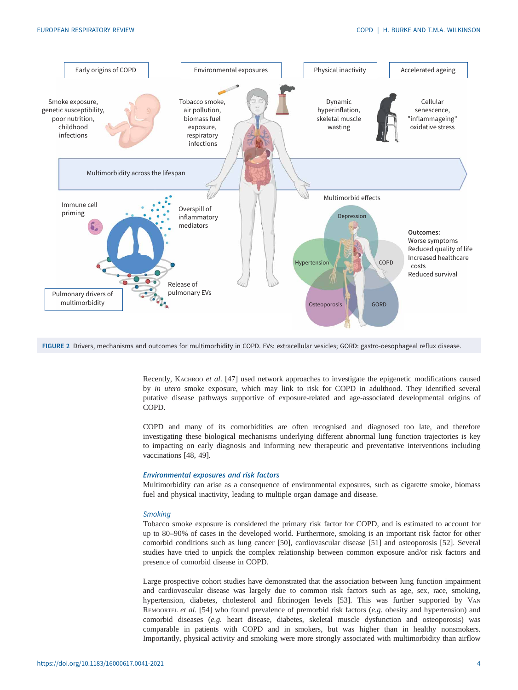<span id="page-3-0"></span>

FIGURE 2 Drivers, mechanisms and outcomes for multimorbidity in COPD. EVs: extracellular vesicles; GORD: gastro-oesophageal reflux disease.

Recently, KACHROO et al. [[47\]](#page-12-0) used network approaches to investigate the epigenetic modifications caused by in utero smoke exposure, which may link to risk for COPD in adulthood. They identified several putative disease pathways supportive of exposure-related and age-associated developmental origins of COPD.

COPD and many of its comorbidities are often recognised and diagnosed too late, and therefore investigating these biological mechanisms underlying different abnormal lung function trajectories is key to impacting on early diagnosis and informing new therapeutic and preventative interventions including vaccinations [\[48](#page-12-0), [49](#page-12-0)].

#### Environmental exposures and risk factors

Multimorbidity can arise as a consequence of environmental exposures, such as cigarette smoke, biomass fuel and physical inactivity, leading to multiple organ damage and disease.

# **Smoking**

Tobacco smoke exposure is considered the primary risk factor for COPD, and is estimated to account for up to 80–90% of cases in the developed world. Furthermore, smoking is an important risk factor for other comorbid conditions such as lung cancer [\[50](#page-12-0)], cardiovascular disease [[51\]](#page-12-0) and osteoporosis [[52\]](#page-12-0). Several studies have tried to unpick the complex relationship between common exposure and/or risk factors and presence of comorbid disease in COPD.

Large prospective cohort studies have demonstrated that the association between lung function impairment and cardiovascular disease was largely due to common risk factors such as age, sex, race, smoking, hypertension, diabetes, cholesterol and fibrinogen levels [[53](#page-12-0)]. This was further supported by VAN REMOORTEL et al. [\[54](#page-12-0)] who found prevalence of premorbid risk factors  $(e.g.$  obesity and hypertension) and comorbid diseases (e.g. heart disease, diabetes, skeletal muscle dysfunction and osteoporosis) was comparable in patients with COPD and in smokers, but was higher than in healthy nonsmokers. Importantly, physical activity and smoking were more strongly associated with multimorbidity than airflow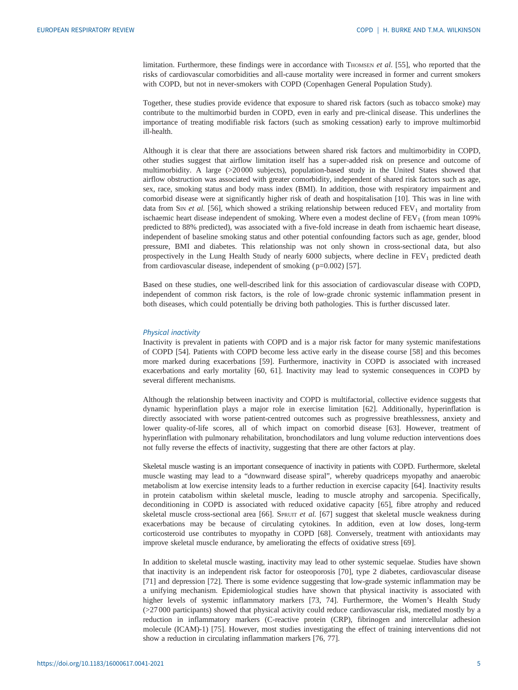limitation. Furthermore, these findings were in accordance with THOMSEN et al. [[55\]](#page-12-0), who reported that the risks of cardiovascular comorbidities and all-cause mortality were increased in former and current smokers with COPD, but not in never-smokers with COPD (Copenhagen General Population Study).

Together, these studies provide evidence that exposure to shared risk factors (such as tobacco smoke) may contribute to the multimorbid burden in COPD, even in early and pre-clinical disease. This underlines the importance of treating modifiable risk factors (such as smoking cessation) early to improve multimorbid ill-health.

Although it is clear that there are associations between shared risk factors and multimorbidity in COPD, other studies suggest that airflow limitation itself has a super-added risk on presence and outcome of multimorbidity. A large (>20 000 subjects), population-based study in the United States showed that airflow obstruction was associated with greater comorbidity, independent of shared risk factors such as age, sex, race, smoking status and body mass index (BMI). In addition, those with respiratory impairment and comorbid disease were at significantly higher risk of death and hospitalisation [\[10](#page-11-0)]. This was in line with data from S<sub>IN</sub> et al. [[56\]](#page-12-0), which showed a striking relationship between reduced  $FEV<sub>1</sub>$  and mortality from ischaemic heart disease independent of smoking. Where even a modest decline of  $FEV<sub>1</sub>$  (from mean 109%) predicted to 88% predicted), was associated with a five-fold increase in death from ischaemic heart disease, independent of baseline smoking status and other potential confounding factors such as age, gender, blood pressure, BMI and diabetes. This relationship was not only shown in cross-sectional data, but also prospectively in the Lung Health Study of nearly  $6000$  subjects, where decline in  $FEV<sub>1</sub>$  predicted death from cardiovascular disease, independent of smoking ( p=0.002) [\[57](#page-12-0)].

Based on these studies, one well-described link for this association of cardiovascular disease with COPD, independent of common risk factors, is the role of low-grade chronic systemic inflammation present in both diseases, which could potentially be driving both pathologies. This is further discussed later.

#### Physical inactivity

Inactivity is prevalent in patients with COPD and is a major risk factor for many systemic manifestations of COPD [[54](#page-12-0)]. Patients with COPD become less active early in the disease course [\[58](#page-13-0)] and this becomes more marked during exacerbations [\[59](#page-13-0)]. Furthermore, inactivity in COPD is associated with increased exacerbations and early mortality [[60, 61](#page-13-0)]. Inactivity may lead to systemic consequences in COPD by several different mechanisms.

Although the relationship between inactivity and COPD is multifactorial, collective evidence suggests that dynamic hyperinflation plays a major role in exercise limitation [\[62](#page-13-0)]. Additionally, hyperinflation is directly associated with worse patient-centred outcomes such as progressive breathlessness, anxiety and lower quality-of-life scores, all of which impact on comorbid disease [\[63](#page-13-0)]. However, treatment of hyperinflation with pulmonary rehabilitation, bronchodilators and lung volume reduction interventions does not fully reverse the effects of inactivity, suggesting that there are other factors at play.

Skeletal muscle wasting is an important consequence of inactivity in patients with COPD. Furthermore, skeletal muscle wasting may lead to a "downward disease spiral", whereby quadriceps myopathy and anaerobic metabolism at low exercise intensity leads to a further reduction in exercise capacity [\[64](#page-13-0)]. Inactivity results in protein catabolism within skeletal muscle, leading to muscle atrophy and sarcopenia. Specifically, deconditioning in COPD is associated with reduced oxidative capacity [[65\]](#page-13-0), fibre atrophy and reduced skeletal muscle cross-sectional area [[66\]](#page-13-0). SPRUIT et al. [\[67](#page-13-0)] suggest that skeletal muscle weakness during exacerbations may be because of circulating cytokines. In addition, even at low doses, long-term corticosteroid use contributes to myopathy in COPD [\[68](#page-13-0)]. Conversely, treatment with antioxidants may improve skeletal muscle endurance, by ameliorating the effects of oxidative stress [\[69](#page-13-0)].

In addition to skeletal muscle wasting, inactivity may lead to other systemic sequelae. Studies have shown that inactivity is an independent risk factor for osteoporosis [\[70](#page-13-0)], type 2 diabetes, cardiovascular disease [\[71](#page-13-0)] and depression [[72\]](#page-13-0). There is some evidence suggesting that low-grade systemic inflammation may be a unifying mechanism. Epidemiological studies have shown that physical inactivity is associated with higher levels of systemic inflammatory markers [\[73](#page-13-0), [74](#page-13-0)]. Furthermore, the Women's Health Study (>27 000 participants) showed that physical activity could reduce cardiovascular risk, mediated mostly by a reduction in inflammatory markers (C-reactive protein (CRP), fibrinogen and intercellular adhesion molecule (ICAM)-1) [[75\]](#page-13-0). However, most studies investigating the effect of training interventions did not show a reduction in circulating inflammation markers [[76, 77\]](#page-13-0).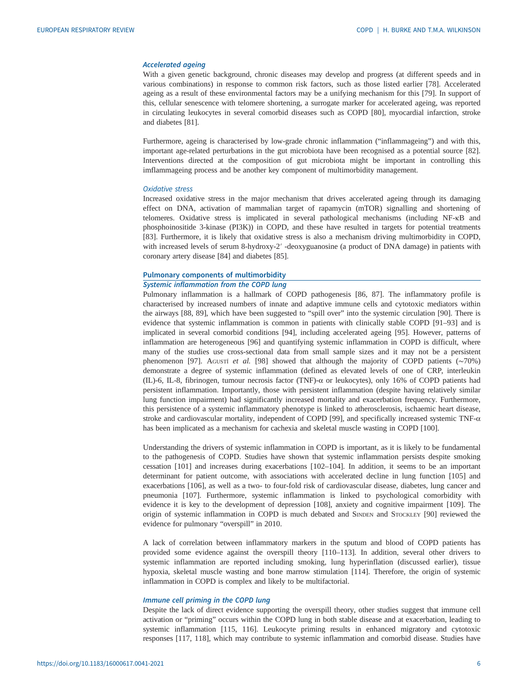#### Accelerated ageing

With a given genetic background, chronic diseases may develop and progress (at different speeds and in various combinations) in response to common risk factors, such as those listed earlier [[78\]](#page-13-0). Accelerated ageing as a result of these environmental factors may be a unifying mechanism for this [\[79](#page-13-0)]. In support of this, cellular senescence with telomere shortening, a surrogate marker for accelerated ageing, was reported in circulating leukocytes in several comorbid diseases such as COPD [[80\]](#page-13-0), myocardial infarction, stroke and diabetes [[81\]](#page-13-0).

Furthermore, ageing is characterised by low-grade chronic inflammation ("inflammageing") and with this, important age-related perturbations in the gut microbiota have been recognised as a potential source [[82\]](#page-13-0). Interventions directed at the composition of gut microbiota might be important in controlling this imflammageing process and be another key component of multimorbidity management.

#### Oxidative stress

Increased oxidative stress in the major mechanism that drives accelerated ageing through its damaging effect on DNA, activation of mammalian target of rapamycin (mTOR) signalling and shortening of telomeres. Oxidative stress is implicated in several pathological mechanisms (including NF-κB and phosphoinositide 3-kinase (PI3K)) in COPD, and these have resulted in targets for potential treatments [\[83](#page-13-0)]. Furthermore, it is likely that oxidative stress is also a mechanism driving multimorbidity in COPD, with increased levels of serum 8-hydroxy-2′ -deoxyguanosine (a product of DNA damage) in patients with coronary artery disease [\[84](#page-13-0)] and diabetes [\[85](#page-13-0)].

# Pulmonary components of multimorbidity

# Systemic inflammation from the COPD lung

Pulmonary inflammation is a hallmark of COPD pathogenesis [[86, 87\]](#page-13-0). The inflammatory profile is characterised by increased numbers of innate and adaptive immune cells and cytotoxic mediators within the airways [\[88](#page-13-0), [89](#page-14-0)], which have been suggested to "spill over" into the systemic circulation [\[90](#page-14-0)]. There is evidence that systemic inflammation is common in patients with clinically stable COPD [[91](#page-14-0)–[93](#page-14-0)] and is implicated in several comorbid conditions [\[94](#page-14-0)], including accelerated ageing [\[95](#page-14-0)]. However, patterns of inflammation are heterogeneous [[96\]](#page-14-0) and quantifying systemic inflammation in COPD is difficult, where many of the studies use cross-sectional data from small sample sizes and it may not be a persistent phenomenon [[97\]](#page-14-0). Agustí et al. [\[98](#page-14-0)] showed that although the majority of COPD patients ( $~0$ 70%) demonstrate a degree of systemic inflammation (defined as elevated levels of one of CRP, interleukin (IL)-6, IL-8, fibrinogen, tumour necrosis factor (TNF)- $\alpha$  or leukocytes), only 16% of COPD patients had persistent inflammation. Importantly, those with persistent inflammation (despite having relatively similar lung function impairment) had significantly increased mortality and exacerbation frequency. Furthermore, this persistence of a systemic inflammatory phenotype is linked to atherosclerosis, ischaemic heart disease, stroke and cardiovascular mortality, independent of COPD [\[99](#page-14-0)], and specifically increased systemic TNF-α has been implicated as a mechanism for cachexia and skeletal muscle wasting in COPD [[100](#page-14-0)].

Understanding the drivers of systemic inflammation in COPD is important, as it is likely to be fundamental to the pathogenesis of COPD. Studies have shown that systemic inflammation persists despite smoking cessation [[101](#page-14-0)] and increases during exacerbations [\[102](#page-14-0)–[104\]](#page-14-0). In addition, it seems to be an important determinant for patient outcome, with associations with accelerated decline in lung function [\[105\]](#page-14-0) and exacerbations [[106](#page-14-0)], as well as a two- to four-fold risk of cardiovascular disease, diabetes, lung cancer and pneumonia [\[107](#page-14-0)]. Furthermore, systemic inflammation is linked to psychological comorbidity with evidence it is key to the development of depression [[108](#page-14-0)], anxiety and cognitive impairment [[109](#page-14-0)]. The origin of systemic inflammation in COPD is much debated and SINDEN and STOCKLEY [[90\]](#page-14-0) reviewed the evidence for pulmonary "overspill" in 2010.

A lack of correlation between inflammatory markers in the sputum and blood of COPD patients has provided some evidence against the overspill theory [\[110](#page-14-0)–[113\]](#page-14-0). In addition, several other drivers to systemic inflammation are reported including smoking, lung hyperinflation (discussed earlier), tissue hypoxia, skeletal muscle wasting and bone marrow stimulation [\[114\]](#page-14-0). Therefore, the origin of systemic inflammation in COPD is complex and likely to be multifactorial.

#### Immune cell priming in the COPD lung

Despite the lack of direct evidence supporting the overspill theory, other studies suggest that immune cell activation or "priming" occurs within the COPD lung in both stable disease and at exacerbation, leading to systemic inflammation [\[115, 116](#page-14-0)]. Leukocyte priming results in enhanced migratory and cytotoxic responses [\[117](#page-14-0), [118](#page-14-0)], which may contribute to systemic inflammation and comorbid disease. Studies have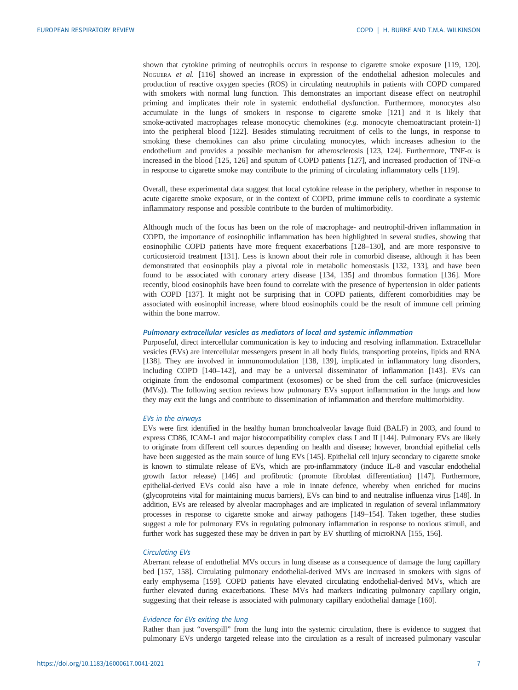shown that cytokine priming of neutrophils occurs in response to cigarette smoke exposure [\[119, 120\]](#page-15-0). NOGUERA et al. [\[116\]](#page-14-0) showed an increase in expression of the endothelial adhesion molecules and production of reactive oxygen species (ROS) in circulating neutrophils in patients with COPD compared with smokers with normal lung function. This demonstrates an important disease effect on neutrophil priming and implicates their role in systemic endothelial dysfunction. Furthermore, monocytes also accumulate in the lungs of smokers in response to cigarette smoke [\[121\]](#page-15-0) and it is likely that smoke-activated macrophages release monocytic chemokines (e.g. monocyte chemoattractant protein-1) into the peripheral blood [\[122\]](#page-15-0). Besides stimulating recruitment of cells to the lungs, in response to smoking these chemokines can also prime circulating monocytes, which increases adhesion to the endothelium and provides a possible mechanism for atherosclerosis [[123](#page-15-0), [124](#page-15-0)]. Furthermore, TNF-α is increased in the blood [\[125, 126](#page-15-0)] and sputum of COPD patients [[127](#page-15-0)], and increased production of TNF-α in response to cigarette smoke may contribute to the priming of circulating inflammatory cells [\[119\]](#page-15-0).

Overall, these experimental data suggest that local cytokine release in the periphery, whether in response to acute cigarette smoke exposure, or in the context of COPD, prime immune cells to coordinate a systemic inflammatory response and possible contribute to the burden of multimorbidity.

Although much of the focus has been on the role of macrophage- and neutrophil-driven inflammation in COPD, the importance of eosinophilic inflammation has been highlighted in several studies, showing that eosinophilic COPD patients have more frequent exacerbations [[128](#page-15-0)–[130](#page-15-0)], and are more responsive to corticosteroid treatment [[131](#page-15-0)]. Less is known about their role in comorbid disease, although it has been demonstrated that eosinophils play a pivotal role in metabolic homeostasis [[132](#page-15-0), [133](#page-15-0)], and have been found to be associated with coronary artery disease [[134](#page-15-0), [135\]](#page-15-0) and thrombus formation [\[136\]](#page-15-0). More recently, blood eosinophils have been found to correlate with the presence of hypertension in older patients with COPD [\[137\]](#page-15-0). It might not be surprising that in COPD patients, different comorbidities may be associated with eosinophil increase, where blood eosinophils could be the result of immune cell priming within the bone marrow.

# Pulmonary extracellular vesicles as mediators of local and systemic inflammation

Purposeful, direct intercellular communication is key to inducing and resolving inflammation. Extracellular vesicles (EVs) are intercellular messengers present in all body fluids, transporting proteins, lipids and RNA [\[138\]](#page-15-0). They are involved in immunomodulation [\[138, 139\]](#page-15-0), implicated in inflammatory lung disorders, including COPD [\[140](#page-15-0)–[142\]](#page-15-0), and may be a universal disseminator of inflammation [[143](#page-15-0)]. EVs can originate from the endosomal compartment (exosomes) or be shed from the cell surface (microvesicles (MVs)). The following section reviews how pulmonary EVs support inflammation in the lungs and how they may exit the lungs and contribute to dissemination of inflammation and therefore multimorbidity.

### EVs in the airways

EVs were first identified in the healthy human bronchoalveolar lavage fluid (BALF) in 2003, and found to express CD86, ICAM-1 and major histocompatibility complex class I and II [\[144](#page-15-0)]. Pulmonary EVs are likely to originate from different cell sources depending on health and disease; however, bronchial epithelial cells have been suggested as the main source of lung EVs [\[145](#page-15-0)]. Epithelial cell injury secondary to cigarette smoke is known to stimulate release of EVs, which are pro-inflammatory (induce IL-8 and vascular endothelial growth factor release) [\[146](#page-15-0)] and profibrotic (promote fibroblast differentiation) [\[147](#page-16-0)]. Furthermore, epithelial-derived EVs could also have a role in innate defence, whereby when enriched for mucins (glycoproteins vital for maintaining mucus barriers), EVs can bind to and neutralise influenza virus [\[148](#page-16-0)]. In addition, EVs are released by alveolar macrophages and are implicated in regulation of several inflammatory processes in response to cigarette smoke and airway pathogens [\[149](#page-16-0)–[154\]](#page-16-0). Taken together, these studies suggest a role for pulmonary EVs in regulating pulmonary inflammation in response to noxious stimuli, and further work has suggested these may be driven in part by EV shuttling of microRNA [[155, 156\]](#page-16-0).

# Circulating EVs

Aberrant release of endothelial MVs occurs in lung disease as a consequence of damage the lung capillary bed [\[157, 158](#page-16-0)]. Circulating pulmonary endothelial-derived MVs are increased in smokers with signs of early emphysema [[159](#page-16-0)]. COPD patients have elevated circulating endothelial-derived MVs, which are further elevated during exacerbations. These MVs had markers indicating pulmonary capillary origin, suggesting that their release is associated with pulmonary capillary endothelial damage [[160](#page-16-0)].

#### Evidence for EVs exiting the lung

Rather than just "overspill" from the lung into the systemic circulation, there is evidence to suggest that pulmonary EVs undergo targeted release into the circulation as a result of increased pulmonary vascular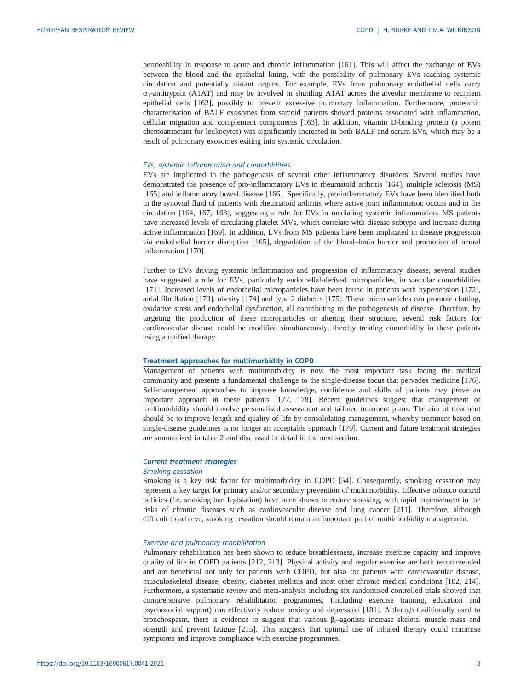permeability in response to acute and chronic inflammation [[161](#page-16-0)]. This will affect the exchange of EVs between the blood and the epithelial lining, with the possibility of pulmonary EVs reaching systemic circulation and potentially distant organs. For example, EVs from pulmonary endothelial cells carry  $\alpha_1$ -antitrypsin (A1AT) and may be involved in shuttling A1AT across the alveolar membrane to recipient epithelial cells [[162](#page-16-0)], possibly to prevent excessive pulmonary inflammation. Furthermore, proteomic characterisation of BALF exosomes from sarcoid patients showed proteins associated with inflammation, cellular migration and complement components [[163](#page-16-0)]. In addition, vitamin D-binding protein (a potent chemoattractant for leukocytes) was significantly increased in both BALF and serum EVs, which may be a result of pulmonary exosomes exiting into systemic circulation.

# EVs, systemic inflammation and comorbidities

EVs are implicated in the pathogenesis of several other inflammatory disorders. Several studies have demonstrated the presence of pro-inflammatory EVs in rheumatoid arthritis [[164](#page-16-0)], multiple sclerosis (MS) [\[165\]](#page-16-0) and inflammatory bowel disease [[166](#page-16-0)]. Specifically, pro-inflammatory EVs have been identified both in the synovial fluid of patients with rheumatoid arthritis where active joint inflammation occurs and in the circulation [[164](#page-16-0), [167, 168](#page-16-0)], suggesting a role for EVs in mediating systemic inflammation. MS patients have increased levels of circulating platelet MVs, which correlate with disease subtype and increase during active inflammation [[169](#page-16-0)]. In addition, EVs from MS patients have been implicated in disease progression via endothelial barrier disruption [\[165\]](#page-16-0), degradation of the blood–brain barrier and promotion of neural inflammation [[170](#page-16-0)].

Further to EVs driving systemic inflammation and progression of inflammatory disease, several studies have suggested a role for EVs, particularly endothelial-derived microparticles, in vascular comorbidities [\[171\]](#page-16-0). Increased levels of endothelial microparticles have been found in patients with hypertension [\[172\]](#page-16-0), atrial fibrillation [[173](#page-16-0)], obesity [[174](#page-16-0)] and type 2 diabetes [[175](#page-17-0)]. These microparticles can promote clotting, oxidative stress and endothelial dysfunction, all contributing to the pathogenesis of disease. Therefore, by targeting the production of these microparticles or altering their structure, several risk factors for cardiovascular disease could be modified simultaneously, thereby treating comorbidity in these patients using a unified therapy.

### Treatment approaches for multimorbidity in COPD

Management of patients with multimorbidity is now the most important task facing the medical community and presents a fundamental challenge to the single-disease focus that pervades medicine [\[176\]](#page-17-0). Self-management approaches to improve knowledge, confidence and skills of patients may prove an important approach in these patients [\[177, 178\]](#page-17-0). Recent guidelines suggest that management of multimorbidity should involve personalised assessment and tailored treatment plans. The aim of treatment should be to improve length and quality of life by consolidating management, whereby treatment based on single-disease guidelines is no longer an acceptable approach [[179](#page-17-0)]. Current and future treatment strategies are summarised in [table 2](#page-8-0) and discussed in detail in the next section.

## Current treatment strategies

#### Smoking cessation

Smoking is a key risk factor for multimorbidity in COPD [\[54](#page-12-0)]. Consequently, smoking cessation may represent a key target for primary and/or secondary prevention of multimorbidity. Effective tobacco control policies (i.e. smoking ban legislation) have been shown to reduce smoking, with rapid improvement in the risks of chronic diseases such as cardiovascular disease and lung cancer [[211](#page-18-0)]. Therefore, although difficult to achieve, smoking cessation should remain an important part of multimorbidity management.

# Exercise and pulmonary rehabilitation

Pulmonary rehabilitation has been shown to reduce breathlessness, increase exercise capacity and improve quality of life in COPD patients [\[212, 213\]](#page-18-0). Physical activity and regular exercise are both recommended and are beneficial not only for patients with COPD, but also for patients with cardiovascular disease, musculoskeletal disease, obesity, diabetes mellitus and most other chronic medical conditions [\[182](#page-17-0), [214\]](#page-18-0). Furthermore, a systematic review and meta-analysis including six randomised controlled trials showed that comprehensive pulmonary rehabilitation programmes, (including exercise training, education and psychosocial support) can effectively reduce anxiety and depression [\[181\]](#page-17-0). Although traditionally used to bronchospasm, there is evidence to suggest that various  $\beta_2$ -agonists increase skeletal muscle mass and strength and prevent fatigue [[215](#page-18-0)]. This suggests that optimal use of inhaled therapy could minimise symptoms and improve compliance with exercise programmes.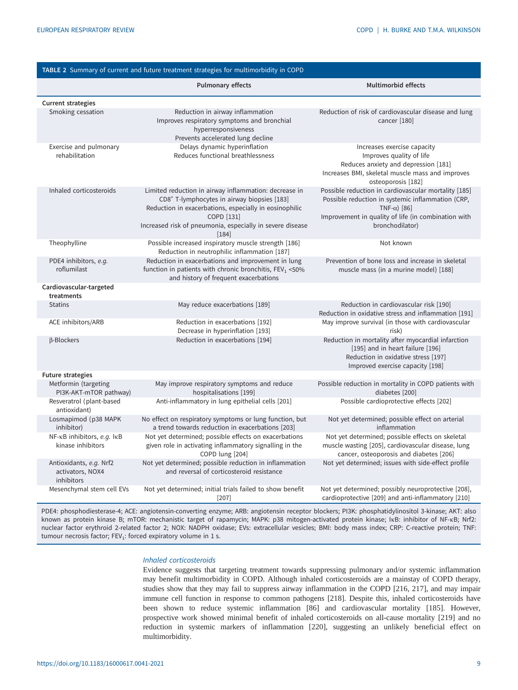<span id="page-8-0"></span>

| TABLE 2 Summary of current and future treatment strategies for multimorbidity in COPD |                                                                                                                                                                                                                                                                  |                                                                                                                                                                                                             |  |  |
|---------------------------------------------------------------------------------------|------------------------------------------------------------------------------------------------------------------------------------------------------------------------------------------------------------------------------------------------------------------|-------------------------------------------------------------------------------------------------------------------------------------------------------------------------------------------------------------|--|--|
|                                                                                       | <b>Pulmonary effects</b>                                                                                                                                                                                                                                         | Multimorbid effects                                                                                                                                                                                         |  |  |
| <b>Current strategies</b>                                                             |                                                                                                                                                                                                                                                                  |                                                                                                                                                                                                             |  |  |
| Smoking cessation                                                                     | Reduction in airway inflammation<br>Improves respiratory symptoms and bronchial<br>hyperresponsiveness<br>Prevents accelerated lung decline                                                                                                                      | Reduction of risk of cardiovascular disease and lung<br>cancer [180]                                                                                                                                        |  |  |
| Exercise and pulmonary<br>rehabilitation                                              | Delays dynamic hyperinflation<br>Reduces functional breathlessness                                                                                                                                                                                               | Increases exercise capacity<br>Improves quality of life<br>Reduces anxiety and depression [181]<br>Increases BMI, skeletal muscle mass and improves<br>osteoporosis [182]                                   |  |  |
| Inhaled corticosteroids                                                               | Limited reduction in airway inflammation: decrease in<br>CD8 <sup>+</sup> T-lymphocytes in airway biopsies [183]<br>Reduction in exacerbations, especially in eosinophilic<br>COPD [131]<br>Increased risk of pneumonia, especially in severe disease<br>$[184]$ | Possible reduction in cardiovascular mortality [185]<br>Possible reduction in systemic inflammation (CRP,<br>TNF- $\alpha$ ) [86]<br>Improvement in quality of life (in combination with<br>bronchodilator) |  |  |
| Theophylline                                                                          | Possible increased inspiratory muscle strength [186]<br>Reduction in neutrophilic inflammation [187]                                                                                                                                                             | Not known                                                                                                                                                                                                   |  |  |
| PDE4 inhibitors, e.g.<br>roflumilast                                                  | Reduction in exacerbations and improvement in lung<br>function in patients with chronic bronchitis, FEV <sub>1</sub> <50%<br>and history of frequent exacerbations                                                                                               | Prevention of bone loss and increase in skeletal<br>muscle mass (in a murine model) [188]                                                                                                                   |  |  |
| Cardiovascular-targeted<br>treatments                                                 |                                                                                                                                                                                                                                                                  |                                                                                                                                                                                                             |  |  |
| <b>Statins</b>                                                                        | May reduce exacerbations [189]                                                                                                                                                                                                                                   | Reduction in cardiovascular risk [190]<br>Reduction in oxidative stress and inflammation [191]                                                                                                              |  |  |
| ACE inhibitors/ARB                                                                    | Reduction in exacerbations [192]<br>Decrease in hyperinflation [193]                                                                                                                                                                                             | May improve survival (in those with cardiovascular<br>risk)                                                                                                                                                 |  |  |
| β-Blockers                                                                            | Reduction in exacerbations [194]                                                                                                                                                                                                                                 | Reduction in mortality after myocardial infarction<br>[195] and in heart failure [196]<br>Reduction in oxidative stress [197]<br>Improved exercise capacity [198]                                           |  |  |
| <b>Future strategies</b>                                                              |                                                                                                                                                                                                                                                                  |                                                                                                                                                                                                             |  |  |
| Metformin (targeting<br>PI3K-AKT-mTOR pathway)                                        | May improve respiratory symptoms and reduce<br>hospitalisations [199]                                                                                                                                                                                            | Possible reduction in mortality in COPD patients with<br>diabetes [200]                                                                                                                                     |  |  |
| Resveratrol (plant-based<br>antioxidant)                                              | Anti-inflammatory in lung epithelial cells [201]                                                                                                                                                                                                                 | Possible cardioprotective effects [202]                                                                                                                                                                     |  |  |
| Losmapimod (p38 MAPK<br>inhibitor)                                                    | No effect on respiratory symptoms or lung function, but<br>a trend towards reduction in exacerbations [203]                                                                                                                                                      | Not yet determined; possible effect on arterial<br>inflammation                                                                                                                                             |  |  |
| NF-KB inhibitors, e.g. IKB<br>kinase inhibitors                                       | Not yet determined; possible effects on exacerbations<br>given role in activating inflammatory signalling in the<br>COPD lung [204]                                                                                                                              | Not yet determined; possible effects on skeletal<br>muscle wasting [205], cardiovascular disease, lung<br>cancer, osteoporosis and diabetes [206]                                                           |  |  |
| Antioxidants, e.g. Nrf2<br>activators, NOX4<br>inhibitors                             | Not yet determined; possible reduction in inflammation<br>and reversal of corticosteroid resistance                                                                                                                                                              | Not yet determined; issues with side-effect profile                                                                                                                                                         |  |  |
| Mesenchymal stem cell EVs                                                             | Not yet determined; initial trials failed to show benefit<br>$[207]$                                                                                                                                                                                             | Not yet determined; possibly neuroprotective [208],<br>cardioprotective [209] and anti-inflammatory [210]                                                                                                   |  |  |

PDE4: phosphodiesterase-4; ACE: angiotensin-converting enzyme; ARB: angiotensin receptor blockers; PI3K: phosphatidylinositol 3-kinase; AKT: also known as protein kinase B; mTOR: mechanistic target of rapamycin; MAPK: p38 mitogen-activated protein kinase; IκB: inhibitor of NF-κB; Nrf2: nuclear factor erythroid 2-related factor 2; NOX: NADPH oxidase; EVs: extracellular vesicles; BMI: body mass index; CRP: C-reactive protein; TNF: tumour necrosis factor; FEV<sub>1</sub>: forced expiratory volume in 1 s.

#### Inhaled corticosteroids

Evidence suggests that targeting treatment towards suppressing pulmonary and/or systemic inflammation may benefit multimorbidity in COPD. Although inhaled corticosteroids are a mainstay of COPD therapy, studies show that they may fail to suppress airway inflammation in the COPD [\[216, 217](#page-18-0)], and may impair immune cell function in response to common pathogens [[218](#page-18-0)]. Despite this, inhaled corticosteroids have been shown to reduce systemic inflammation [\[86](#page-13-0)] and cardiovascular mortality [\[185\]](#page-17-0). However, prospective work showed minimal benefit of inhaled corticosteroids on all-cause mortality [[219](#page-18-0)] and no reduction in systemic markers of inflammation [\[220\]](#page-18-0), suggesting an unlikely beneficial effect on multimorbidity.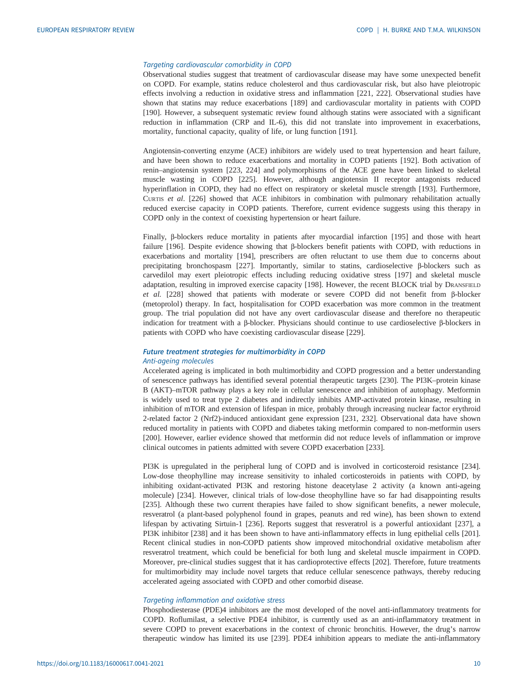# Targeting cardiovascular comorbidity in COPD

Observational studies suggest that treatment of cardiovascular disease may have some unexpected benefit on COPD. For example, statins reduce cholesterol and thus cardiovascular risk, but also have pleiotropic effects involving a reduction in oxidative stress and inflammation [[221](#page-18-0), [222](#page-18-0)]. Observational studies have shown that statins may reduce exacerbations [\[189\]](#page-17-0) and cardiovascular mortality in patients with COPD [\[190\]](#page-17-0). However, a subsequent systematic review found although statins were associated with a significant reduction in inflammation (CRP and IL-6), this did not translate into improvement in exacerbations, mortality, functional capacity, quality of life, or lung function [[191](#page-17-0)].

Angiotensin-converting enzyme (ACE) inhibitors are widely used to treat hypertension and heart failure, and have been shown to reduce exacerbations and mortality in COPD patients [[192](#page-17-0)]. Both activation of renin–angiotensin system [\[223, 224](#page-18-0)] and polymorphisms of the ACE gene have been linked to skeletal muscle wasting in COPD [[225](#page-18-0)]. However, although angiotensin II receptor antagonists reduced hyperinflation in COPD, they had no effect on respiratory or skeletal muscle strength [[193](#page-17-0)]. Furthermore, CURTIS et al. [\[226\]](#page-18-0) showed that ACE inhibitors in combination with pulmonary rehabilitation actually reduced exercise capacity in COPD patients. Therefore, current evidence suggests using this therapy in COPD only in the context of coexisting hypertension or heart failure.

Finally, β-blockers reduce mortality in patients after myocardial infarction [\[195\]](#page-17-0) and those with heart failure [\[196\]](#page-17-0). Despite evidence showing that β-blockers benefit patients with COPD, with reductions in exacerbations and mortality [\[194\]](#page-17-0), prescribers are often reluctant to use them due to concerns about precipitating bronchospasm [[227](#page-18-0)]. Importantly, similar to statins, cardioselective β-blockers such as carvedilol may exert pleiotropic effects including reducing oxidative stress [[197](#page-17-0)] and skeletal muscle adaptation, resulting in improved exercise capacity [\[198\]](#page-17-0). However, the recent BLOCK trial by DRANSFIELD et al. [\[228\]](#page-18-0) showed that patients with moderate or severe COPD did not benefit from <sup>β</sup>-blocker (metoprolol) therapy. In fact, hospitalisation for COPD exacerbation was more common in the treatment group. The trial population did not have any overt cardiovascular disease and therefore no therapeutic indication for treatment with a β-blocker. Physicians should continue to use cardioselective β-blockers in patients with COPD who have coexisting cardiovascular disease [\[229\]](#page-18-0).

# Future treatment strategies for multimorbidity in COPD Anti-ageing molecules

Accelerated ageing is implicated in both multimorbidity and COPD progression and a better understanding of senescence pathways has identified several potential therapeutic targets [[230](#page-18-0)]. The PI3K–protein kinase B (AKT)–mTOR pathway plays a key role in cellular senescence and inhibition of autophagy. Metformin is widely used to treat type 2 diabetes and indirectly inhibits AMP-activated protein kinase, resulting in inhibition of mTOR and extension of lifespan in mice, probably through increasing nuclear factor erythroid 2-related factor 2 (Nrf2)-induced antioxidant gene expression [[231](#page-18-0), [232](#page-19-0)]. Observational data have shown reduced mortality in patients with COPD and diabetes taking metformin compared to non-metformin users [\[200\]](#page-17-0). However, earlier evidence showed that metformin did not reduce levels of inflammation or improve clinical outcomes in patients admitted with severe COPD exacerbation [\[233\]](#page-19-0).

PI3K is upregulated in the peripheral lung of COPD and is involved in corticosteroid resistance [\[234\]](#page-19-0). Low-dose theophylline may increase sensitivity to inhaled corticosteroids in patients with COPD, by inhibiting oxidant-activated PI3K and restoring histone deacetylase 2 activity (a known anti-ageing molecule) [[234](#page-19-0)]. However, clinical trials of low-dose theophylline have so far had disappointing results [\[235\]](#page-19-0). Although these two current therapies have failed to show significant benefits, a newer molecule, resveratrol (a plant-based polyphenol found in grapes, peanuts and red wine), has been shown to extend lifespan by activating Sirtuin-1 [\[236\]](#page-19-0). Reports suggest that resveratrol is a powerful antioxidant [\[237\]](#page-19-0), a PI3K inhibitor [\[238\]](#page-19-0) and it has been shown to have anti-inflammatory effects in lung epithelial cells [\[201\]](#page-17-0). Recent clinical studies in non-COPD patients show improved mitochondrial oxidative metabolism after resveratrol treatment, which could be beneficial for both lung and skeletal muscle impairment in COPD. Moreover, pre-clinical studies suggest that it has cardioprotective effects [\[202\]](#page-17-0). Therefore, future treatments for multimorbidity may include novel targets that reduce cellular senescence pathways, thereby reducing accelerated ageing associated with COPD and other comorbid disease.

#### Targeting inflammation and oxidative stress

Phosphodiesterase (PDE)4 inhibitors are the most developed of the novel anti-inflammatory treatments for COPD. Roflumilast, a selective PDE4 inhibitor, is currently used as an anti-inflammatory treatment in severe COPD to prevent exacerbations in the context of chronic bronchitis. However, the drug's narrow therapeutic window has limited its use [[239](#page-19-0)]. PDE4 inhibition appears to mediate the anti-inflammatory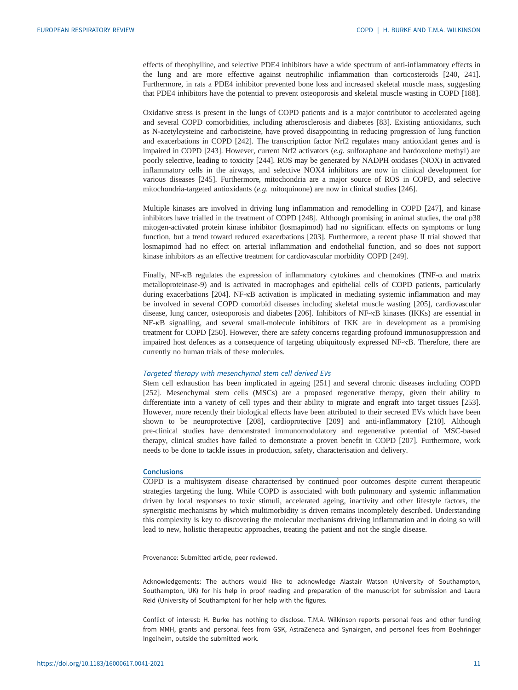effects of theophylline, and selective PDE4 inhibitors have a wide spectrum of anti-inflammatory effects in the lung and are more effective against neutrophilic inflammation than corticosteroids [[240](#page-19-0), [241\]](#page-19-0). Furthermore, in rats a PDE4 inhibitor prevented bone loss and increased skeletal muscle mass, suggesting that PDE4 inhibitors have the potential to prevent osteoporosis and skeletal muscle wasting in COPD [[188](#page-17-0)].

Oxidative stress is present in the lungs of COPD patients and is a major contributor to accelerated ageing and several COPD comorbidities, including atherosclerosis and diabetes [\[83](#page-13-0)]. Existing antioxidants, such as N-acetylcysteine and carbocisteine, have proved disappointing in reducing progression of lung function and exacerbations in COPD [\[242\]](#page-19-0). The transcription factor Nrf2 regulates many antioxidant genes and is impaired in COPD [[243](#page-19-0)]. However, current Nrf2 activators  $(e.g.$  sulforaphane and bardoxolone methyl) are poorly selective, leading to toxicity [[244](#page-19-0)]. ROS may be generated by NADPH oxidases (NOX) in activated inflammatory cells in the airways, and selective NOX4 inhibitors are now in clinical development for various diseases [\[245\]](#page-19-0). Furthermore, mitochondria are a major source of ROS in COPD, and selective mitochondria-targeted antioxidants (e.g. mitoquinone) are now in clinical studies  $[246]$ .

Multiple kinases are involved in driving lung inflammation and remodelling in COPD [\[247\]](#page-19-0), and kinase inhibitors have trialled in the treatment of COPD [[248](#page-19-0)]. Although promising in animal studies, the oral p38 mitogen-activated protein kinase inhibitor (losmapimod) had no significant effects on symptoms or lung function, but a trend toward reduced exacerbations [\[203\]](#page-18-0). Furthermore, a recent phase II trial showed that losmapimod had no effect on arterial inflammation and endothelial function, and so does not support kinase inhibitors as an effective treatment for cardiovascular morbidity COPD [\[249\]](#page-19-0).

Finally, NF- $\kappa$ B regulates the expression of inflammatory cytokines and chemokines (TNF- $\alpha$  and matrix metalloproteinase-9) and is activated in macrophages and epithelial cells of COPD patients, particularly during exacerbations [\[204\]](#page-18-0). NF-κB activation is implicated in mediating systemic inflammation and may be involved in several COPD comorbid diseases including skeletal muscle wasting [[205](#page-18-0)], cardiovascular disease, lung cancer, osteoporosis and diabetes [\[206\]](#page-18-0). Inhibitors of NF-κB kinases (IKKs) are essential in NF-κB signalling, and several small-molecule inhibitors of IKK are in development as a promising treatment for COPD [[250](#page-19-0)]. However, there are safety concerns regarding profound immunosuppression and impaired host defences as a consequence of targeting ubiquitously expressed NF-κB. Therefore, there are currently no human trials of these molecules.

## Targeted therapy with mesenchymal stem cell derived EVs

Stem cell exhaustion has been implicated in ageing [\[251\]](#page-19-0) and several chronic diseases including COPD [\[252\]](#page-19-0). Mesenchymal stem cells (MSCs) are a proposed regenerative therapy, given their ability to differentiate into a variety of cell types and their ability to migrate and engraft into target tissues [\[253\]](#page-19-0). However, more recently their biological effects have been attributed to their secreted EVs which have been shown to be neuroprotective [[208](#page-18-0)], cardioprotective [\[209\]](#page-18-0) and anti-inflammatory [[210](#page-18-0)]. Although pre-clinical studies have demonstrated immunomodulatory and regenerative potential of MSC-based therapy, clinical studies have failed to demonstrate a proven benefit in COPD [[207](#page-18-0)]. Furthermore, work needs to be done to tackle issues in production, safety, characterisation and delivery.

#### **Conclusions**

COPD is a multisystem disease characterised by continued poor outcomes despite current therapeutic strategies targeting the lung. While COPD is associated with both pulmonary and systemic inflammation driven by local responses to toxic stimuli, accelerated ageing, inactivity and other lifestyle factors, the synergistic mechanisms by which multimorbidity is driven remains incompletely described. Understanding this complexity is key to discovering the molecular mechanisms driving inflammation and in doing so will lead to new, holistic therapeutic approaches, treating the patient and not the single disease.

Provenance: Submitted article, peer reviewed.

Acknowledgements: The authors would like to acknowledge Alastair Watson (University of Southampton, Southampton, UK) for his help in proof reading and preparation of the manuscript for submission and Laura Reid (University of Southampton) for her help with the figures.

Conflict of interest: H. Burke has nothing to disclose. T.M.A. Wilkinson reports personal fees and other funding from MMH, grants and personal fees from GSK, AstraZeneca and Synairgen, and personal fees from Boehringer Ingelheim, outside the submitted work.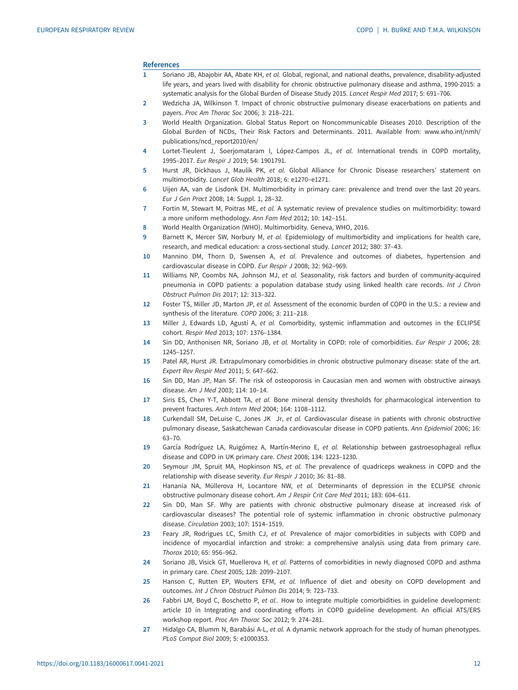#### <span id="page-11-0"></span>References

- 1 Soriano JB, Abajobir AA, Abate KH, et al. Global, regional, and national deaths, prevalence, disability-adjusted life years, and years lived with disability for chronic obstructive pulmonary disease and asthma, 1990-2015: a systematic analysis for the Global Burden of Disease Study 2015. Lancet Respir Med 2017; 5: 691–706.
- 2 Wedzicha JA, Wilkinson T. Impact of chronic obstructive pulmonary disease exacerbations on patients and payers. Proc Am Thorac Soc 2006; 3: 218–221.
- 3 World Health Organization. Global Status Report on Noncommunicable Diseases 2010. Description of the Global Burden of NCDs, Their Risk Factors and Determinants. 2011. Available from: [www.who.int/nmh/](http://www.who.int/nmh/publications/ncd_report2010/en/) [publications/ncd\\_report2010/en/](http://www.who.int/nmh/publications/ncd_report2010/en/)
- 4 Lortet-Tieulent J, Soerjomataram I, López-Campos JL, et al. International trends in COPD mortality, 1995–2017. Eur Respir J 2019; 54: 1901791.
- 5 Hurst JR, Dickhaus J, Maulik PK, et al. Global Alliance for Chronic Disease researchers' statement on multimorbidity. Lancet Glob Health 2018; 6: e1270–e1271.
- 6 Uijen AA, van de Lisdonk EH. Multimorbidity in primary care: prevalence and trend over the last 20 years. Eur J Gen Pract 2008; 14: Suppl. 1, 28–32.
- 7 Fortin M, Stewart M, Poitras ME, et al. A systematic review of prevalence studies on multimorbidity: toward a more uniform methodology. Ann Fam Med 2012; 10: 142–151.
- 8 World Health Organization (WHO). Multimorbidity. Geneva, WHO, 2016.
- 9 Barnett K, Mercer SW, Norbury M, et al. Epidemiology of multimorbidity and implications for health care, research, and medical education: a cross-sectional study. Lancet 2012; 380: 37–43.
- 10 Mannino DM, Thorn D, Swensen A, et al. Prevalence and outcomes of diabetes, hypertension and cardiovascular disease in COPD. Eur Respir J 2008; 32: 962–969.
- 11 Williams NP, Coombs NA, Johnson MJ, et al. Seasonality, risk factors and burden of community-acquired pneumonia in COPD patients: a population database study using linked health care records. Int J Chron Obstruct Pulmon Dis 2017; 12: 313–322.
- 12 Foster TS, Miller JD, Marton JP, et al. Assessment of the economic burden of COPD in the U.S.: a review and synthesis of the literature. COPD 2006; 3: 211–218.
- 13 Miller J, Edwards LD, Agustí A, et al. Comorbidity, systemic inflammation and outcomes in the ECLIPSE cohort. Respir Med 2013; 107: 1376–1384.
- 14 Sin DD, Anthonisen NR, Soriano JB, et al. Mortality in COPD: role of comorbidities. Eur Respir J 2006; 28: 1245–1257.
- 15 Patel AR, Hurst JR. Extrapulmonary comorbidities in chronic obstructive pulmonary disease: state of the art. Expert Rev Respir Med 2011; 5: 647–662.
- 16 Sin DD, Man JP, Man SF. The risk of osteoporosis in Caucasian men and women with obstructive airways disease. Am J Med 2003; 114: 10–14.
- 17 Siris ES, Chen Y-T, Abbott TA, et al. Bone mineral density thresholds for pharmacological intervention to prevent fractures. Arch Intern Med 2004; 164: 1108–1112.
- 18 Curkendall SM, DeLuise C, Jones JK Jr, et al. Cardiovascular disease in patients with chronic obstructive pulmonary disease, Saskatchewan Canada cardiovascular disease in COPD patients. Ann Epidemiol 2006; 16: 63–70.
- 19 García Rodríguez LA, Ruigómez A, Martín-Merino E, et al. Relationship between gastroesophageal reflux disease and COPD in UK primary care. Chest 2008; 134: 1223–1230.
- 20 Seymour JM, Spruit MA, Hopkinson NS, et al. The prevalence of quadriceps weakness in COPD and the relationship with disease severity. Eur Respir J 2010; 36: 81–88.
- 21 Hanania NA, Müllerova H, Locantore NW, et al. Determinants of depression in the ECLIPSE chronic obstructive pulmonary disease cohort. Am J Respir Crit Care Med 2011; 183: 604–611.
- 22 Sin DD, Man SF. Why are patients with chronic obstructive pulmonary disease at increased risk of cardiovascular diseases? The potential role of systemic inflammation in chronic obstructive pulmonary disease. Circulation 2003; 107: 1514–1519.
- 23 Feary JR, Rodrigues LC, Smith CJ, et al. Prevalence of major comorbidities in subjects with COPD and incidence of myocardial infarction and stroke: a comprehensive analysis using data from primary care. Thorax 2010; 65: 956–962.
- 24 Soriano JB, Visick GT, Muellerova H, et al. Patterns of comorbidities in newly diagnosed COPD and asthma in primary care. Chest 2005; 128: 2099–2107.
- 25 Hanson C, Rutten EP, Wouters EFM, et al. Influence of diet and obesity on COPD development and outcomes. Int J Chron Obstruct Pulmon Dis 2014; 9: 723–733.
- 26 Fabbri LM, Boyd C, Boschetto P, et al.. How to integrate multiple comorbidities in guideline development: article 10 in Integrating and coordinating efforts in COPD guideline development. An official ATS/ERS workshop report. Proc Am Thorac Soc 2012; 9: 274–281.
- 27 Hidalgo CA, Blumm N, Barabási A-L, et al. A dynamic network approach for the study of human phenotypes. PLoS Comput Biol 2009; 5: e1000353.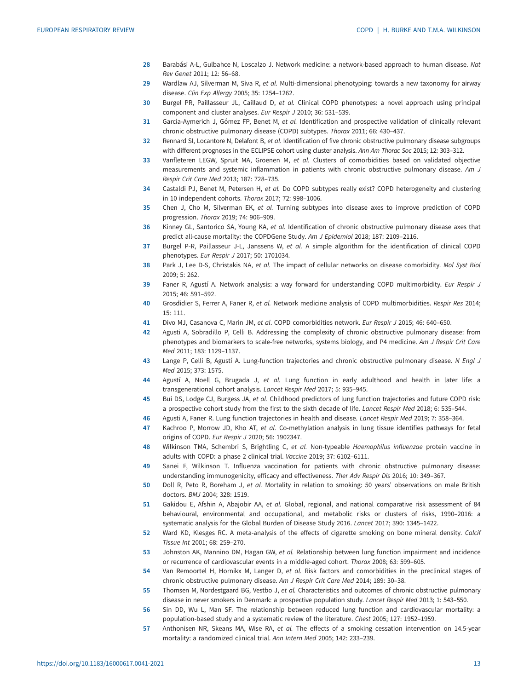- <span id="page-12-0"></span>28 Barabási A-L, Gulbahce N, Loscalzo J. Network medicine: a network-based approach to human disease. Nat Rev Genet 2011; 12: 56–68.
- 29 Wardlaw AJ, Silverman M, Siva R, et al. Multi-dimensional phenotyping: towards a new taxonomy for airway disease. Clin Exp Allergy 2005; 35: 1254–1262.
- 30 Burgel PR, Paillasseur JL, Caillaud D, et al. Clinical COPD phenotypes: a novel approach using principal component and cluster analyses. Eur Respir J 2010; 36: 531–539.
- 31 Garcia-Aymerich J, Gómez FP, Benet M, et al. Identification and prospective validation of clinically relevant chronic obstructive pulmonary disease (COPD) subtypes. Thorax 2011; 66: 430–437.
- 32 Rennard SI, Locantore N, Delafont B, et al. Identification of five chronic obstructive pulmonary disease subgroups with different prognoses in the ECLIPSE cohort using cluster analysis. Ann Am Thorac Soc 2015; 12: 303-312.
- 33 Vanfleteren LEGW, Spruit MA, Groenen M, et al. Clusters of comorbidities based on validated objective measurements and systemic inflammation in patients with chronic obstructive pulmonary disease. Am J Respir Crit Care Med 2013; 187: 728–735.
- 34 Castaldi PJ, Benet M, Petersen H, et al. Do COPD subtypes really exist? COPD heterogeneity and clustering in 10 independent cohorts. Thorax 2017; 72: 998–1006.
- 35 Chen J, Cho M, Silverman EK, et al. Turning subtypes into disease axes to improve prediction of COPD progression. Thorax 2019; 74: 906–909.
- 36 Kinney GL, Santorico SA, Young KA, et al. Identification of chronic obstructive pulmonary disease axes that predict all-cause mortality: the COPDGene Study. Am J Epidemiol 2018; 187: 2109–2116.
- 37 Burgel P-R, Paillasseur J-L, Janssens W, et al. A simple algorithm for the identification of clinical COPD phenotypes. Eur Respir J 2017; 50: 1701034.
- 38 Park J, Lee D-S, Christakis NA, et al. The impact of cellular networks on disease comorbidity. Mol Syst Biol 2009; 5: 262.
- 39 Faner R, Agustí A. Network analysis: a way forward for understanding COPD multimorbidity. Eur Respir J 2015; 46: 591–592.
- 40 Grosdidier S, Ferrer A, Faner R, et al. Network medicine analysis of COPD multimorbidities. Respir Res 2014; 15: 111.
- 41 Divo MJ, Casanova C, Marin JM, et al. COPD comorbidities network. Eur Respir J 2015; 46: 640–650.
- 42 Agusti A, Sobradillo P, Celli B. Addressing the complexity of chronic obstructive pulmonary disease: from phenotypes and biomarkers to scale-free networks, systems biology, and P4 medicine. Am J Respir Crit Care Med 2011; 183: 1129–1137.
- 43 Lange P, Celli B, Agustí A. Lung-function trajectories and chronic obstructive pulmonary disease. N Engl J Med 2015; 373: 1575.
- 44 Agustí A, Noell G, Brugada J, et al. Lung function in early adulthood and health in later life: a transgenerational cohort analysis. Lancet Respir Med 2017; 5: 935–945.
- 45 Bui DS, Lodge CJ, Burgess JA, et al. Childhood predictors of lung function trajectories and future COPD risk: a prospective cohort study from the first to the sixth decade of life. Lancet Respir Med 2018; 6: 535–544.
- 46 Agusti A, Faner R. Lung function trajectories in health and disease. Lancet Respir Med 2019; 7: 358-364.
- 47 Kachroo P, Morrow JD, Kho AT, et al. Co-methylation analysis in lung tissue identifies pathways for fetal origins of COPD. Eur Respir J 2020; 56: 1902347.
- 48 Wilkinson TMA, Schembri S, Brightling C, et al. Non-typeable Haemophilus influenzae protein vaccine in adults with COPD: a phase 2 clinical trial. Vaccine 2019; 37: 6102–6111.
- 49 Sanei F, Wilkinson T. Influenza vaccination for patients with chronic obstructive pulmonary disease: understanding immunogenicity, efficacy and effectiveness. Ther Adv Respir Dis 2016; 10: 349–367.
- 50 Doll R, Peto R, Boreham J, et al. Mortality in relation to smoking: 50 years' observations on male British doctors. BMJ 2004; 328: 1519.
- 51 Gakidou E, Afshin A, Abajobir AA, et al. Global, regional, and national comparative risk assessment of 84 behavioural, environmental and occupational, and metabolic risks or clusters of risks, 1990–2016: a systematic analysis for the Global Burden of Disease Study 2016. Lancet 2017; 390: 1345–1422.
- 52 Ward KD, Klesges RC. A meta-analysis of the effects of cigarette smoking on bone mineral density. Calcif Tissue Int 2001; 68: 259–270.
- 53 Johnston AK, Mannino DM, Hagan GW, et al. Relationship between lung function impairment and incidence or recurrence of cardiovascular events in a middle-aged cohort. Thorax 2008; 63: 599–605.
- 54 Van Remoortel H, Hornikx M, Langer D, et al. Risk factors and comorbidities in the preclinical stages of chronic obstructive pulmonary disease. Am J Respir Crit Care Med 2014; 189: 30–38.
- 55 Thomsen M, Nordestgaard BG, Vestbo J, et al. Characteristics and outcomes of chronic obstructive pulmonary disease in never smokers in Denmark: a prospective population study. Lancet Respir Med 2013; 1: 543-550.
- 56 Sin DD, Wu L, Man SF. The relationship between reduced lung function and cardiovascular mortality: a population-based study and a systematic review of the literature. Chest 2005; 127: 1952–1959.
- 57 Anthonisen NR, Skeans MA, Wise RA, et al. The effects of a smoking cessation intervention on 14.5-year mortality: a randomized clinical trial. Ann Intern Med 2005; 142: 233–239.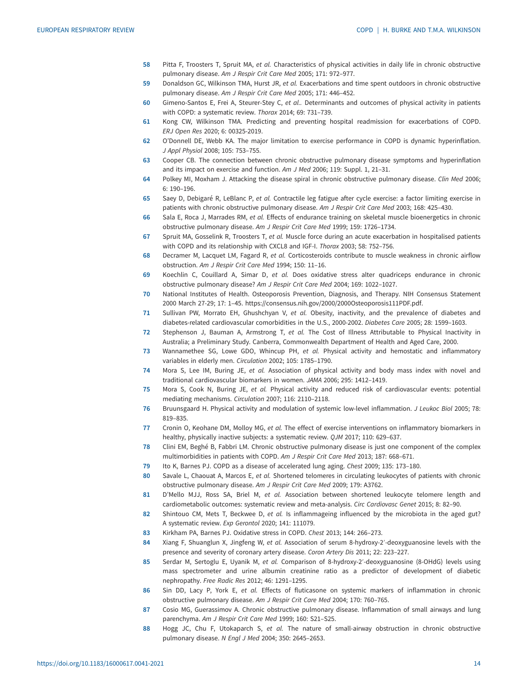- <span id="page-13-0"></span>58 Pitta F, Troosters T, Spruit MA, et al. Characteristics of physical activities in daily life in chronic obstructive pulmonary disease. Am J Respir Crit Care Med 2005; 171: 972–977.
- 59 Donaldson GC, Wilkinson TMA, Hurst JR, et al. Exacerbations and time spent outdoors in chronic obstructive pulmonary disease. Am J Respir Crit Care Med 2005; 171: 446–452.
- 60 Gimeno-Santos E, Frei A, Steurer-Stey C, et al.. Determinants and outcomes of physical activity in patients with COPD: a systematic review. Thorax 2014; 69: 731–739.
- 61 Kong CW, Wilkinson TMA. Predicting and preventing hospital readmission for exacerbations of COPD. ERJ Open Res 2020; 6: 00325-2019.
- 62 O'Donnell DE, Webb KA. The major limitation to exercise performance in COPD is dynamic hyperinflation. J Appl Physiol 2008; 105: 753–755.
- 63 Cooper CB. The connection between chronic obstructive pulmonary disease symptoms and hyperinflation and its impact on exercise and function. Am J Med 2006; 119: Suppl. 1, 21–31.
- 64 Polkey MI, Moxham J. Attacking the disease spiral in chronic obstructive pulmonary disease. Clin Med 2006; 6: 190–196.
- 65 Saey D, Debigaré R, LeBlanc P, et al. Contractile leg fatigue after cycle exercise: a factor limiting exercise in patients with chronic obstructive pulmonary disease. Am J Respir Crit Care Med 2003; 168: 425–430.
- 66 Sala E, Roca J, Marrades RM, et al. Effects of endurance training on skeletal muscle bioenergetics in chronic obstructive pulmonary disease. Am J Respir Crit Care Med 1999; 159: 1726–1734.
- 67 Spruit MA, Gosselink R, Troosters T, et al. Muscle force during an acute exacerbation in hospitalised patients with COPD and its relationship with CXCL8 and IGF-I. Thorax 2003; 58: 752–756.
- 68 Decramer M, Lacquet LM, Fagard R, et al. Corticosteroids contribute to muscle weakness in chronic airflow obstruction. Am J Respir Crit Care Med 1994; 150: 11–16.
- 69 Koechlin C, Couillard A, Simar D, et al. Does oxidative stress alter quadriceps endurance in chronic obstructive pulmonary disease? Am J Respir Crit Care Med 2004; 169: 1022–1027.
- 70 National Institutes of Health. Osteoporosis Prevention, Diagnosis, and Therapy. NIH Consensus Statement 2000 March 27-29; 17: 1–45. [https://consensus.nih.gov/2000/2000Osteoporosis111PDF.pdf.](https://consensus.nih.gov/2000/2000Osteoporosis111PDF.pdf)
- 71 Sullivan PW, Morrato EH, Ghushchyan V, et al. Obesity, inactivity, and the prevalence of diabetes and diabetes-related cardiovascular comorbidities in the U.S., 2000-2002. Diabetes Care 2005; 28: 1599–1603.
- 72 Stephenson J, Bauman A, Armstrong T, et al. The Cost of Illness Attributable to Physical Inactivity in Australia; a Preliminary Study. Canberra, Commonwealth Department of Health and Aged Care, 2000.
- 73 Wannamethee SG, Lowe GDO, Whincup PH, et al. Physical activity and hemostatic and inflammatory variables in elderly men. Circulation 2002; 105: 1785–1790.
- 74 Mora S, Lee IM, Buring JE, et al. Association of physical activity and body mass index with novel and traditional cardiovascular biomarkers in women. JAMA 2006; 295: 1412–1419.
- 75 Mora S, Cook N, Buring JE, et al. Physical activity and reduced risk of cardiovascular events: potential mediating mechanisms. Circulation 2007; 116: 2110–2118.
- 76 Bruunsgaard H. Physical activity and modulation of systemic low-level inflammation. J Leukoc Biol 2005; 78: 819–835.
- 77 Cronin O, Keohane DM, Molloy MG, et al. The effect of exercise interventions on inflammatory biomarkers in healthy, physically inactive subjects: a systematic review. QJM 2017; 110: 629–637.
- 78 Clini EM, Beghé B, Fabbri LM. Chronic obstructive pulmonary disease is just one component of the complex multimorbidities in patients with COPD. Am J Respir Crit Care Med 2013; 187: 668–671.
- 79 Ito K, Barnes PJ. COPD as a disease of accelerated lung aging. Chest 2009; 135: 173–180.
- 80 Savale L, Chaouat A, Marcos E, et al. Shortened telomeres in circulating leukocytes of patients with chronic obstructive pulmonary disease. Am J Respir Crit Care Med 2009; 179: A3762.
- 81 D'Mello MJJ, Ross SA, Briel M, et al. Association between shortened leukocyte telomere length and cardiometabolic outcomes: systematic review and meta-analysis. Circ Cardiovasc Genet 2015; 8: 82–90.
- 82 Shintouo CM, Mets T, Beckwee D, et al. Is inflammageing influenced by the microbiota in the aged gut? A systematic review. Exp Gerontol 2020; 141: 111079.
- 83 Kirkham PA, Barnes PJ. Oxidative stress in COPD. Chest 2013; 144: 266–273.
- 84 Xiang F, Shuanglun X, Jingfeng W, et al. Association of serum 8-hydroxy-2'-deoxyguanosine levels with the presence and severity of coronary artery disease. Coron Artery Dis 2011; 22: 223–227.
- 85 Serdar M, Sertoglu E, Uyanik M, et al. Comparison of 8-hydroxy-2'-deoxyguanosine (8-OHdG) levels using mass spectrometer and urine albumin creatinine ratio as a predictor of development of diabetic nephropathy. Free Radic Res 2012; 46: 1291–1295.
- 86 Sin DD, Lacy P, York E, et al. Effects of fluticasone on systemic markers of inflammation in chronic obstructive pulmonary disease. Am J Respir Crit Care Med 2004; 170: 760–765.
- 87 Cosio MG, Guerassimov A. Chronic obstructive pulmonary disease. Inflammation of small airways and lung parenchyma. Am J Respir Crit Care Med 1999; 160: S21–S25.
- 88 Hogg JC, Chu F, Utokaparch S, et al. The nature of small-airway obstruction in chronic obstructive pulmonary disease. N Engl J Med 2004; 350: 2645–2653.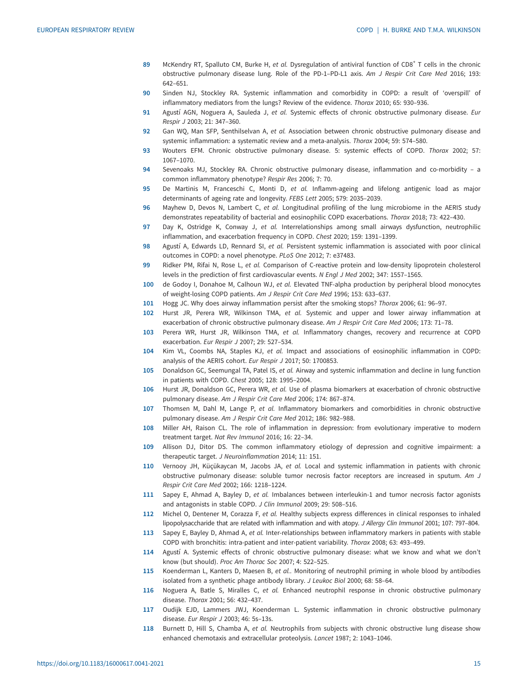- <span id="page-14-0"></span>89 McKendry RT, Spalluto CM, Burke H, et al. Dysregulation of antiviral function of CD8<sup>+</sup> T cells in the chronic obstructive pulmonary disease lung. Role of the PD-1–PD-L1 axis. Am J Respir Crit Care Med 2016; 193: 642–651.
- 90 Sinden NJ, Stockley RA. Systemic inflammation and comorbidity in COPD: a result of 'overspill' of inflammatory mediators from the lungs? Review of the evidence. Thorax 2010; 65: 930–936.
- 91 Agustí AGN, Noguera A, Sauleda J, et al. Systemic effects of chronic obstructive pulmonary disease. Eur Respir J 2003; 21: 347–360.
- 92 Gan WQ, Man SFP, Senthilselvan A, et al. Association between chronic obstructive pulmonary disease and systemic inflammation: a systematic review and a meta-analysis. Thorax 2004; 59: 574–580.
- 93 Wouters EFM. Chronic obstructive pulmonary disease. 5: systemic effects of COPD. Thorax 2002; 57: 1067–1070.
- 94 Sevenoaks MJ, Stockley RA. Chronic obstructive pulmonary disease, inflammation and co-morbidity a common inflammatory phenotype? Respir Res 2006; 7: 70.
- 95 De Martinis M, Franceschi C, Monti D, et al. Inflamm-ageing and lifelong antigenic load as major determinants of ageing rate and longevity. FEBS Lett 2005; 579: 2035–2039.
- 96 Mayhew D, Devos N, Lambert C, et al. Longitudinal profiling of the lung microbiome in the AERIS study demonstrates repeatability of bacterial and eosinophilic COPD exacerbations. Thorax 2018; 73: 422–430.
- 97 Day K, Ostridge K, Conway J, et al. Interrelationships among small airways dysfunction, neutrophilic inflammation, and exacerbation frequency in COPD. Chest 2020; 159: 1391–1399.
- 98 Agustí A, Edwards LD, Rennard SI, et al. Persistent systemic inflammation is associated with poor clinical outcomes in COPD: a novel phenotype. PLoS One 2012; 7: e37483.
- 99 Ridker PM, Rifai N, Rose L, et al. Comparison of C-reactive protein and low-density lipoprotein cholesterol levels in the prediction of first cardiovascular events. N Engl J Med 2002; 347: 1557–1565.
- 100 de Godoy I, Donahoe M, Calhoun WJ, et al. Elevated TNF-alpha production by peripheral blood monocytes of weight-losing COPD patients. Am J Respir Crit Care Med 1996; 153: 633–637.
- 101 Hogg JC. Why does airway inflammation persist after the smoking stops? Thorax 2006; 61: 96–97.
- 102 Hurst JR, Perera WR, Wilkinson TMA, et al. Systemic and upper and lower airway inflammation at exacerbation of chronic obstructive pulmonary disease. Am J Respir Crit Care Med 2006; 173: 71–78.
- 103 Perera WR, Hurst JR, Wilkinson TMA, et al. Inflammatory changes, recovery and recurrence at COPD exacerbation. Eur Respir J 2007; 29: 527–534.
- 104 Kim VL, Coombs NA, Staples KJ, et al. Impact and associations of eosinophilic inflammation in COPD: analysis of the AERIS cohort. Eur Respir J 2017; 50: 1700853.
- 105 Donaldson GC, Seemungal TA, Patel IS, et al. Airway and systemic inflammation and decline in lung function in patients with COPD. Chest 2005; 128: 1995–2004.
- 106 Hurst JR, Donaldson GC, Perera WR, et al. Use of plasma biomarkers at exacerbation of chronic obstructive pulmonary disease. Am J Respir Crit Care Med 2006; 174: 867–874.
- 107 Thomsen M, Dahl M, Lange P, et al. Inflammatory biomarkers and comorbidities in chronic obstructive pulmonary disease. Am J Respir Crit Care Med 2012; 186: 982–988.
- 108 Miller AH, Raison CL. The role of inflammation in depression: from evolutionary imperative to modern treatment target. Nat Rev Immunol 2016; 16: 22–34.
- 109 Allison DJ, Ditor DS. The common inflammatory etiology of depression and cognitive impairment: a therapeutic target. J Neuroinflammation 2014; 11: 151.
- 110 Vernooy JH, Küçükaycan M, Jacobs JA, et al. Local and systemic inflammation in patients with chronic obstructive pulmonary disease: soluble tumor necrosis factor receptors are increased in sputum. Am J Respir Crit Care Med 2002; 166: 1218–1224.
- 111 Sapey E, Ahmad A, Bayley D, et al. Imbalances between interleukin-1 and tumor necrosis factor agonists and antagonists in stable COPD. J Clin Immunol 2009; 29: 508–516.
- 112 Michel O, Dentener M, Corazza F, et al. Healthy subjects express differences in clinical responses to inhaled lipopolysaccharide that are related with inflammation and with atopy. J Allergy Clin Immunol 2001; 107: 797–804.
- 113 Sapey E, Bayley D, Ahmad A, et al. Inter-relationships between inflammatory markers in patients with stable COPD with bronchitis: intra-patient and inter-patient variability. Thorax 2008; 63: 493–499.
- 114 Agustí A. Systemic effects of chronic obstructive pulmonary disease: what we know and what we don't know (but should). Proc Am Thorac Soc 2007; 4: 522–525.
- 115 Koenderman L, Kanters D, Maesen B, et al.. Monitoring of neutrophil priming in whole blood by antibodies isolated from a synthetic phage antibody library. J Leukoc Biol 2000; 68: 58–64.
- 116 Noguera A, Batle S, Miralles C, et al. Enhanced neutrophil response in chronic obstructive pulmonary disease. Thorax 2001; 56: 432–437.
- 117 Oudijk EJD, Lammers JWJ, Koenderman L. Systemic inflammation in chronic obstructive pulmonary disease. Eur Respir J 2003; 46: 5s–13s.
- 118 Burnett D, Hill S, Chamba A, et al. Neutrophils from subjects with chronic obstructive lung disease show enhanced chemotaxis and extracellular proteolysis. Lancet 1987; 2: 1043–1046.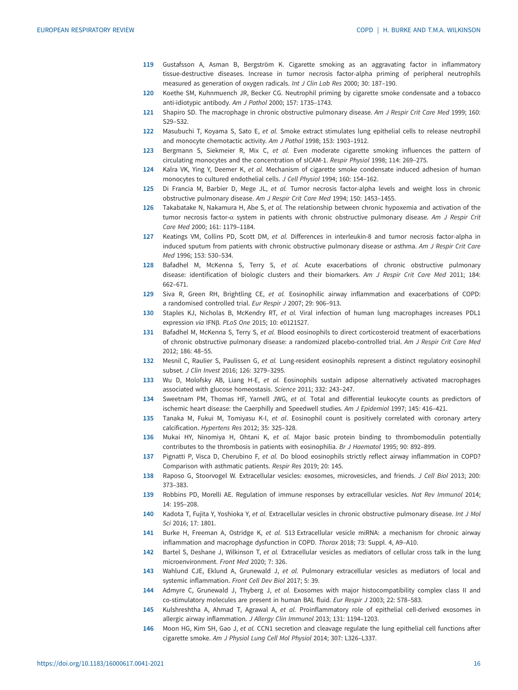- <span id="page-15-0"></span>119 Gustafsson A, Asman B, Bergström K. Cigarette smoking as an aggravating factor in inflammatory tissue-destructive diseases. Increase in tumor necrosis factor-alpha priming of peripheral neutrophils measured as generation of oxygen radicals. Int J Clin Lab Res 2000; 30: 187–190.
- 120 Koethe SM, Kuhnmuench JR, Becker CG. Neutrophil priming by cigarette smoke condensate and a tobacco anti-idiotypic antibody. Am J Pathol 2000; 157: 1735–1743.
- 121 Shapiro SD. The macrophage in chronic obstructive pulmonary disease. Am J Respir Crit Care Med 1999; 160: S29–S32.
- 122 Masubuchi T, Koyama S, Sato E, et al. Smoke extract stimulates lung epithelial cells to release neutrophil and monocyte chemotactic activity. Am J Pathol 1998; 153: 1903–1912.
- 123 Bergmann S, Siekmeier R, Mix C, et al. Even moderate cigarette smoking influences the pattern of circulating monocytes and the concentration of sICAM-1. Respir Physiol 1998; 114: 269–275.
- 124 Kalra VK, Ying Y, Deemer K, et al. Mechanism of cigarette smoke condensate induced adhesion of human monocytes to cultured endothelial cells. J Cell Physiol 1994; 160: 154–162.
- 125 Di Francia M, Barbier D, Mege JL, et al. Tumor necrosis factor-alpha levels and weight loss in chronic obstructive pulmonary disease. Am J Respir Crit Care Med 1994; 150: 1453–1455.
- 126 Takabatake N, Nakamura H, Abe S, et al. The relationship between chronic hypoxemia and activation of the tumor necrosis factor-α system in patients with chronic obstructive pulmonary disease. Am J Respir Crit Care Med 2000; 161: 1179–1184.
- 127 Keatings VM, Collins PD, Scott DM, et al. Differences in interleukin-8 and tumor necrosis factor-alpha in induced sputum from patients with chronic obstructive pulmonary disease or asthma. Am J Respir Crit Care Med 1996; 153: 530–534.
- 128 Bafadhel M, McKenna S, Terry S, et al. Acute exacerbations of chronic obstructive pulmonary disease: identification of biologic clusters and their biomarkers. Am J Respir Crit Care Med 2011; 184: 662–671.
- 129 Siva R, Green RH, Brightling CE, et al. Eosinophilic airway inflammation and exacerbations of COPD: a randomised controlled trial. Eur Respir J 2007; 29: 906–913.
- 130 Staples KJ, Nicholas B, McKendry RT, et al. Viral infection of human lung macrophages increases PDL1 expression via IFNβ. PLoS One 2015; 10: e0121527.
- 131 Bafadhel M, McKenna S, Terry S, et al. Blood eosinophils to direct corticosteroid treatment of exacerbations of chronic obstructive pulmonary disease: a randomized placebo-controlled trial. Am J Respir Crit Care Med 2012; 186: 48–55.
- 132 Mesnil C, Raulier S, Paulissen G, et al. Lung-resident eosinophils represent a distinct regulatory eosinophil subset. J Clin Invest 2016; 126: 3279–3295.
- 133 Wu D, Molofsky AB, Liang H-E, et al. Eosinophils sustain adipose alternatively activated macrophages associated with glucose homeostasis. Science 2011; 332: 243–247.
- 134 Sweetnam PM, Thomas HF, Yarnell JWG, et al. Total and differential leukocyte counts as predictors of ischemic heart disease: the Caerphilly and Speedwell studies. Am J Epidemiol 1997; 145: 416–421.
- 135 Tanaka M, Fukui M, Tomiyasu K-I, et al. Eosinophil count is positively correlated with coronary artery calcification. Hypertens Res 2012; 35: 325–328.
- 136 Mukai HY, Ninomiya H, Ohtani K, et al. Major basic protein binding to thrombomodulin potentially contributes to the thrombosis in patients with eosinophilia. Br J Haematol 1995; 90: 892–899.
- 137 Pignatti P, Visca D, Cherubino F, et al. Do blood eosinophils strictly reflect airway inflammation in COPD? Comparison with asthmatic patients. Respir Res 2019; 20: 145.
- 138 Raposo G, Stoorvogel W. Extracellular vesicles: exosomes, microvesicles, and friends. J Cell Biol 2013; 200: 373–383.
- 139 Robbins PD, Morelli AE. Regulation of immune responses by extracellular vesicles. Nat Rev Immunol 2014; 14: 195–208.
- 140 Kadota T, Fujita Y, Yoshioka Y, et al. Extracellular vesicles in chronic obstructive pulmonary disease. Int J Mol Sci 2016; 17: 1801.
- 141 Burke H, Freeman A, Ostridge K, et al. S13 Extracellular vesicle miRNA: a mechanism for chronic airway inflammation and macrophage dysfunction in COPD. Thorax 2018; 73: Suppl. 4, A9–A10.
- 142 Bartel S, Deshane J, Wilkinson T, et al. Extracellular vesicles as mediators of cellular cross talk in the lung microenvironment. Front Med 2020; 7: 326.
- 143 Wahlund CJE, Eklund A, Grunewald J, et al. Pulmonary extracellular vesicles as mediators of local and systemic inflammation. Front Cell Dev Biol 2017; 5: 39.
- 144 Admyre C, Grunewald J, Thyberg J, et al. Exosomes with major histocompatibility complex class II and co-stimulatory molecules are present in human BAL fluid. Eur Respir J 2003; 22: 578–583.
- 145 Kulshreshtha A, Ahmad T, Agrawal A, et al. Proinflammatory role of epithelial cell-derived exosomes in allergic airway inflammation. J Allergy Clin Immunol 2013; 131: 1194–1203.
- 146 Moon HG, Kim SH, Gao J, et al. CCN1 secretion and cleavage regulate the lung epithelial cell functions after cigarette smoke. Am J Physiol Lung Cell Mol Physiol 2014; 307: L326–L337.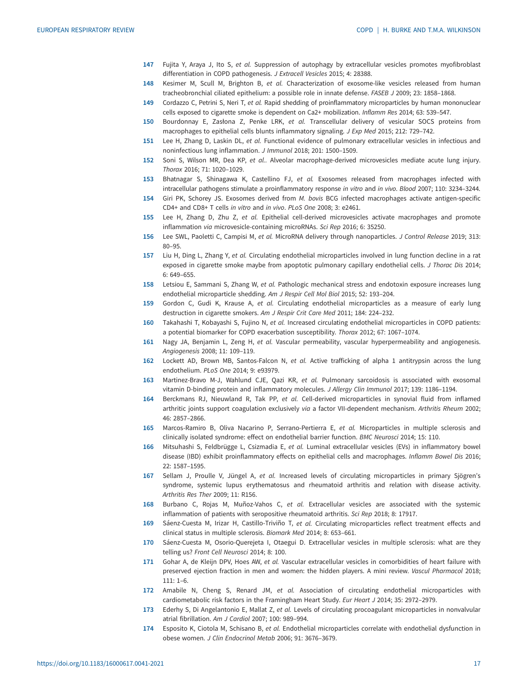- <span id="page-16-0"></span>147 Fujita Y, Araya J, Ito S, et al. Suppression of autophagy by extracellular vesicles promotes myofibroblast differentiation in COPD pathogenesis. J Extracell Vesicles 2015; 4: 28388.
- 148 Kesimer M, Scull M, Brighton B, et al. Characterization of exosome-like vesicles released from human tracheobronchial ciliated epithelium: a possible role in innate defense. FASEB J 2009; 23: 1858–1868.
- 149 Cordazzo C, Petrini S, Neri T, et al. Rapid shedding of proinflammatory microparticles by human mononuclear cells exposed to cigarette smoke is dependent on Ca2+ mobilization. Inflamm Res 2014; 63: 539–547.
- 150 Bourdonnay E, Zasłona Z, Penke LRK, et al. Transcellular delivery of vesicular SOCS proteins from macrophages to epithelial cells blunts inflammatory signaling. J Exp Med 2015; 212: 729-742.
- 151 Lee H, Zhang D, Laskin DL, et al. Functional evidence of pulmonary extracellular vesicles in infectious and noninfectious lung inflammation. J Immunol 2018; 201: 1500–1509.
- 152 Soni S, Wilson MR, Dea KP, et al.. Alveolar macrophage-derived microvesicles mediate acute lung injury. Thorax 2016; 71: 1020–1029.
- 153 Bhatnagar S, Shinagawa K, Castellino FJ, et al. Exosomes released from macrophages infected with intracellular pathogens stimulate a proinflammatory response in vitro and in vivo. Blood 2007; 110: 3234–3244.
- 154 Giri PK. Schorev JS. Exosomes derived from M. bovis BCG infected macrophages activate antigen-specific CD4+ and CD8+ T cells in vitro and in vivo. PLoS One 2008; 3: e2461.
- 155 Lee H, Zhang D, Zhu Z, et al. Epithelial cell-derived microvesicles activate macrophages and promote inflammation via microvesicle-containing microRNAs. Sci Rep 2016; 6: 35250.
- 156 Lee SWL, Paoletti C, Campisi M, et al. MicroRNA delivery through nanoparticles. J Control Release 2019; 313: 80–95.
- 157 Liu H, Ding L, Zhang Y, et al. Circulating endothelial microparticles involved in lung function decline in a rat exposed in cigarette smoke maybe from apoptotic pulmonary capillary endothelial cells. J Thorac Dis 2014; 6: 649–655.
- 158 Letsiou E, Sammani S, Zhang W, et al. Pathologic mechanical stress and endotoxin exposure increases lung endothelial microparticle shedding. Am J Respir Cell Mol Biol 2015; 52: 193–204.
- 159 Gordon C, Gudi K, Krause A, et al. Circulating endothelial microparticles as a measure of early lung destruction in cigarette smokers. Am J Respir Crit Care Med 2011; 184: 224–232.
- 160 Takahashi T, Kobayashi S, Fujino N, et al. Increased circulating endothelial microparticles in COPD patients: a potential biomarker for COPD exacerbation susceptibility. Thorax 2012; 67: 1067–1074.
- 161 Nagy JA, Benjamin L, Zeng H, et al. Vascular permeability, vascular hyperpermeability and angiogenesis. Angiogenesis 2008; 11: 109–119.
- 162 Lockett AD, Brown MB, Santos-Falcon N, et al. Active trafficking of alpha 1 antitrypsin across the lung endothelium. PLoS One 2014; 9: e93979.
- 163 Martinez-Bravo M-J, Wahlund CJE, Qazi KR, et al. Pulmonary sarcoidosis is associated with exosomal vitamin D-binding protein and inflammatory molecules. J Allergy Clin Immunol 2017; 139: 1186–1194.
- 164 Berckmans RJ, Nieuwland R, Tak PP, et al. Cell-derived microparticles in synovial fluid from inflamed arthritic joints support coagulation exclusively via a factor VII-dependent mechanism. Arthritis Rheum 2002; 46: 2857–2866.
- 165 Marcos-Ramiro B, Oliva Nacarino P, Serrano-Pertierra E, et al. Microparticles in multiple sclerosis and clinically isolated syndrome: effect on endothelial barrier function. BMC Neurosci 2014; 15: 110.
- 166 Mitsuhashi S, Feldbrügge L, Csizmadia E, et al. Luminal extracellular vesicles (EVs) in inflammatory bowel disease (IBD) exhibit proinflammatory effects on epithelial cells and macrophages. Inflamm Bowel Dis 2016; 22: 1587–1595.
- 167 Sellam J, Proulle V, Jüngel A, et al. Increased levels of circulating microparticles in primary Sjögren's syndrome, systemic lupus erythematosus and rheumatoid arthritis and relation with disease activity. Arthritis Res Ther 2009; 11: R156.
- 168 Burbano C, Rojas M, Muñoz-Vahos C, et al. Extracellular vesicles are associated with the systemic inflammation of patients with seropositive rheumatoid arthritis. Sci Rep 2018; 8: 17917.
- 169 Sáenz-Cuesta M, Irizar H, Castillo-Triviño T, et al. Circulating microparticles reflect treatment effects and clinical status in multiple sclerosis. Biomark Med 2014; 8: 653–661.
- 170 Sáenz-Cuesta M, Osorio-Querejeta I, Otaegui D. Extracellular vesicles in multiple sclerosis: what are they telling us? Front Cell Neurosci 2014; 8: 100.
- 171 Gohar A, de Kleijn DPV, Hoes AW, et al. Vascular extracellular vesicles in comorbidities of heart failure with preserved ejection fraction in men and women: the hidden players. A mini review. Vascul Pharmacol 2018; 111: 1–6.
- 172 Amabile N, Cheng S, Renard JM, et al. Association of circulating endothelial microparticles with cardiometabolic risk factors in the Framingham Heart Study. Eur Heart J 2014; 35: 2972–2979.
- 173 Ederhy S, Di Angelantonio E, Mallat Z, et al. Levels of circulating procoagulant microparticles in nonvalvular atrial fibrillation. Am J Cardiol 2007; 100: 989–994.
- 174 Esposito K, Ciotola M, Schisano B, et al. Endothelial microparticles correlate with endothelial dysfunction in obese women. J Clin Endocrinol Metab 2006; 91: 3676–3679.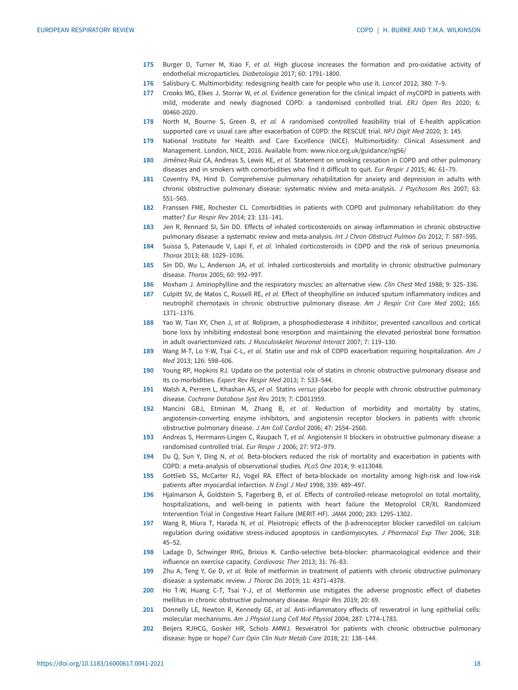- <span id="page-17-0"></span>175 Burger D, Turner M, Xiao F, et al. High glucose increases the formation and pro-oxidative activity of endothelial microparticles. Diabetologia 2017; 60: 1791–1800.
- 176 Salisbury C. Multimorbidity: redesigning health care for people who use it. Lancet 2012; 380: 7-9.
- 177 Crooks MG, Elkes J, Storrar W, et al. Evidence generation for the clinical impact of myCOPD in patients with mild, moderate and newly diagnosed COPD: a randomised controlled trial. ERJ Open Res 2020; 6: 00460-2020.
- 178 North M, Bourne S, Green B, et al. A randomised controlled feasibility trial of E-health application supported care vs usual care after exacerbation of COPD: the RESCUE trial. NPJ Digit Med 2020; 3: 145.
- 179 National Institute for Health and Care Excellence (NICE). Multimorbidity: Clinical Assessment and Management. London, NICE, 2016. Available from: [www.nice.org.uk/guidance/ng56/](http://www.nice.org.uk/guidance/ng56/)
- 180 Jiménez-Ruiz CA, Andreas S, Lewis KE, et al. Statement on smoking cessation in COPD and other pulmonary diseases and in smokers with comorbidities who find it difficult to quit. Eur Respir J 2015; 46: 61–79.
- 181 Coventry PA, Hind D. Comprehensive pulmonary rehabilitation for anxiety and depression in adults with chronic obstructive pulmonary disease: systematic review and meta-analysis. J Psychosom Res 2007; 63: 551–565.
- 182 Franssen FME, Rochester CL. Comorbidities in patients with COPD and pulmonary rehabilitation: do they matter? Eur Respir Rev 2014; 23: 131–141.
- 183 Jen R, Rennard SI, Sin DD. Effects of inhaled corticosteroids on airway inflammation in chronic obstructive pulmonary disease: a systematic review and meta-analysis. Int J Chron Obstruct Pulmon Dis 2012; 7: 587–595.
- 184 Suissa S, Patenaude V, Lapi F, et al. Inhaled corticosteroids in COPD and the risk of serious pneumonia. Thorax 2013; 68: 1029–1036.
- 185 Sin DD, Wu L, Anderson JA, et al. Inhaled corticosteroids and mortality in chronic obstructive pulmonary disease. Thorax 2005; 60: 992–997.
- 186 Moxham J. Aminophylline and the respiratory muscles: an alternative view. Clin Chest Med 1988; 9: 325–336.
- 187 Culpitt SV, de Matos C, Russell RE, et al. Effect of theophylline on induced sputum inflammatory indices and neutrophil chemotaxis in chronic obstructive pulmonary disease. Am J Respir Crit Care Med 2002; 165: 1371–1376.
- 188 Yao W, Tian XY, Chen J, et al. Rolipram, a phosphodiesterase 4 inhibitor, prevented cancellous and cortical bone loss by inhibiting endosteal bone resorption and maintaining the elevated periosteal bone formation in adult ovariectomized rats. J Musculoskelet Neuronal Interact 2007; 7: 119–130.
- 189 Wang M-T, Lo Y-W, Tsai C-L, et al. Statin use and risk of COPD exacerbation requiring hospitalization. Am J Med 2013; 126: 598–606.
- 190 Young RP, Hopkins RJ. Update on the potential role of statins in chronic obstructive pulmonary disease and its co-morbidities. Expert Rev Respir Med 2013; 7: 533–544.
- 191 Walsh A, Perrem L, Khashan AS, et al. Statins versus placebo for people with chronic obstructive pulmonary disease. Cochrane Database Syst Rev 2019; 7: CD011959.
- 192 Mancini GBJ, Etminan M, Zhang B, et al. Reduction of morbidity and mortality by statins, angiotensin-converting enzyme inhibitors, and angiotensin receptor blockers in patients with chronic obstructive pulmonary disease. J Am Coll Cardiol 2006; 47: 2554–2560.
- 193 Andreas S, Herrmann-Lingen C, Raupach T, et al. Angiotensin II blockers in obstructive pulmonary disease: a randomised controlled trial. Eur Respir J 2006; 27: 972–979.
- 194 Du Q, Sun Y, Ding N, et al. Beta-blockers reduced the risk of mortality and exacerbation in patients with COPD: a meta-analysis of observational studies. PLoS One 2014; 9: e113048.
- 195 Gottlieb SS, McCarter RJ, Vogel RA. Effect of beta-blockade on mortality among high-risk and low-risk patients after myocardial infarction. N Engl J Med 1998; 339: 489–497.
- 196 Hjalmarson Å, Goldstein S, Fagerberg B, et al. Effects of controlled-release metoprolol on total mortality, hospitalizations, and well-being in patients with heart failure the Metoprolol CR/XL Randomized Intervention Trial in Congestive Heart Failure (MERIT-HF). JAMA 2000; 283: 1295–1302.
- 197 Wang R, Miura T, Harada N, et al. Pleiotropic effects of the β-adrenoceptor blocker carvedilol on calcium regulation during oxidative stress-induced apoptosis in cardiomyocytes. J Pharmacol Exp Ther 2006; 318: 45–52.
- 198 Ladage D, Schwinger RHG, Brixius K. Cardio-selective beta-blocker: pharmacological evidence and their influence on exercise capacity. Cardiovasc Ther 2013; 31: 76–83.
- 199 Zhu A, Teng Y, Ge D, et al. Role of metformin in treatment of patients with chronic obstructive pulmonary disease: a systematic review. J Thorac Dis 2019; 11: 4371–4378.
- 200 Ho T-W, Huang C-T, Tsai Y-J, et al. Metformin use mitigates the adverse prognostic effect of diabetes mellitus in chronic obstructive pulmonary disease. Respir Res 2019; 20: 69.
- 201 Donnelly LE, Newton R, Kennedy GE, et al. Anti-inflammatory effects of resveratrol in lung epithelial cells: molecular mechanisms. Am J Physiol Lung Cell Mol Physiol 2004; 287: L774–L783.
- 202 Beijers RJHCG, Gosker HR, Schols AMWJ. Resveratrol for patients with chronic obstructive pulmonary disease: hype or hope? Curr Opin Clin Nutr Metab Care 2018; 21: 138–144.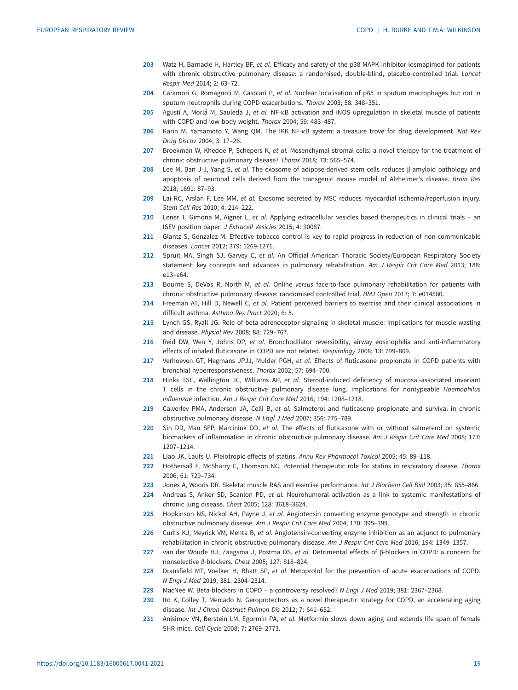- <span id="page-18-0"></span>203 Watz H, Barnacle H, Hartley BF, et al. Efficacy and safety of the p38 MAPK inhibitor losmapimod for patients with chronic obstructive pulmonary disease: a randomised, double-blind, placebo-controlled trial. Lancet Respir Med 2014; 2: 63–72.
- 204 Caramori G, Romagnoli M, Casolari P, et al. Nuclear localisation of p65 in sputum macrophages but not in sputum neutrophils during COPD exacerbations. Thorax 2003; 58: 348–351.
- 205 Agustí A, Morlá M, Sauleda J, et al. NF-<sub>KB</sub> activation and iNOS upregulation in skeletal muscle of patients with COPD and low body weight. Thorax 2004; 59: 483–487.
- 206 Karin M, Yamamoto Y, Wang QM. The IKK NF-KB system: a treasure trove for drug development. Nat Rev Drug Discov 2004; 3: 17–26.
- 207 Broekman W, Khedoe P, Schepers K, et al. Mesenchymal stromal cells: a novel therapy for the treatment of chronic obstructive pulmonary disease? Thorax 2018; 73: 565–574.
- 208 Lee M, Ban J-J, Yang S, et al. The exosome of adipose-derived stem cells reduces β-amyloid pathology and apoptosis of neuronal cells derived from the transgenic mouse model of Alzheimer's disease. Brain Res 2018; 1691: 87–93.
- 209 Lai RC, Arslan F, Lee MM, et al. Exosome secreted by MSC reduces myocardial ischemia/reperfusion injury. Stem Cell Res 2010; 4: 214–222.
- 210 Lener T, Gimona M, Aigner L, et al. Applying extracellular vesicles based therapeutics in clinical trials an ISEV position paper. J Extracell Vesicles 2015; 4: 30087.
- 211 Glantz S, Gonzalez M. Effective tobacco control is key to rapid progress in reduction of non-communicable diseases. Lancet 2012; 379: 1269-1271.
- 212 Spruit MA, Singh SJ, Garvey C, et al. An Official American Thoracic Society/European Respiratory Society statement: key concepts and advances in pulmonary rehabilitation. Am J Respir Crit Care Med 2013; 188:  $P13-P64$
- 213 Bourne S, DeVos R, North M, et al. Online versus face-to-face pulmonary rehabilitation for patients with chronic obstructive pulmonary disease: randomised controlled trial. BMJ Open 2017; 7: e014580.
- 214 Freeman AT, Hill D, Newell C, et al. Patient perceived barriers to exercise and their clinical associations in difficult asthma. Asthma Res Pract 2020; 6: 5.
- 215 Lynch GS, Ryall JG. Role of beta-adrenoceptor signaling in skeletal muscle: implications for muscle wasting and disease. Physiol Rev 2008; 88: 729–767.
- 216 Reid DW, Wen Y, Johns DP, et al. Bronchodilator reversibility, airway eosinophilia and anti-inflammatory effects of inhaled fluticasone in COPD are not related. Respirology 2008; 13: 799–809.
- 217 Verhoeven GT, Hegmans JPJJ, Mulder PGH, et al. Effects of fluticasone propionate in COPD patients with bronchial hyperresponsiveness. Thorax 2002; 57: 694–700.
- 218 Hinks TSC, Wallington JC, Williams AP, et al. Steroid-induced deficiency of mucosal-associated invariant T cells in the chronic obstructive pulmonary disease lung. Implications for nontypeable Haemophilus influenzae infection. Am J Respir Crit Care Med 2016; 194: 1208–1218.
- 219 Calverley PMA, Anderson JA, Celli B, et al. Salmeterol and fluticasone propionate and survival in chronic obstructive pulmonary disease. N Engl J Med 2007; 356: 775–789.
- 220 Sin DD, Man SFP, Marciniuk DD, et al. The effects of fluticasone with or without salmeterol on systemic biomarkers of inflammation in chronic obstructive pulmonary disease. Am J Respir Crit Care Med 2008; 177: 1207–1214.
- 221 Liao JK, Laufs U. Pleiotropic effects of statins. Annu Rev Pharmacol Toxicol 2005; 45: 89–118.
- 222 Hothersall E, McSharry C, Thomson NC. Potential therapeutic role for statins in respiratory disease. Thorax 2006; 61: 729–734.
- 223 Jones A, Woods DR. Skeletal muscle RAS and exercise performance. Int J Biochem Cell Biol 2003; 35: 855-866.
- 224 Andreas S, Anker SD, Scanlon PD, et al. Neurohumoral activation as a link to systemic manifestations of chronic lung disease. Chest 2005; 128: 3618–3624.
- 225 Hopkinson NS, Nickol AH, Payne J, et al. Angiotensin converting enzyme genotype and strength in chronic obstructive pulmonary disease. Am J Respir Crit Care Med 2004; 170: 395–399.
- 226 Curtis KJ, Meyrick VM, Mehta B, et al. Angiotensin-converting enzyme inhibition as an adjunct to pulmonary rehabilitation in chronic obstructive pulmonary disease. Am J Respir Crit Care Med 2016; 194: 1349–1357.
- 227 van der Woude HJ, Zaagsma J, Postma DS, et al. Detrimental effects of β-blockers in COPD: a concern for nonselective β-blockers. Chest 2005; 127: 818–824.
- 228 Dransfield MT, Voelker H, Bhatt SP, et al. Metoprolol for the prevention of acute exacerbations of COPD. N Engl J Med 2019; 381: 2304–2314.
- 229 MacNee W. Beta-blockers in COPD a controversy resolved? N Engl J Med 2019; 381: 2367–2368.
- 230 Ito K, Colley T, Mercado N. Geroprotectors as a novel therapeutic strategy for COPD, an accelerating aging disease. Int J Chron Obstruct Pulmon Dis 2012; 7: 641–652.
- 231 Anisimov VN, Berstein LM, Egormin PA, et al. Metformin slows down aging and extends life span of female SHR mice. Cell Cycle 2008; 7: 2769–2773.